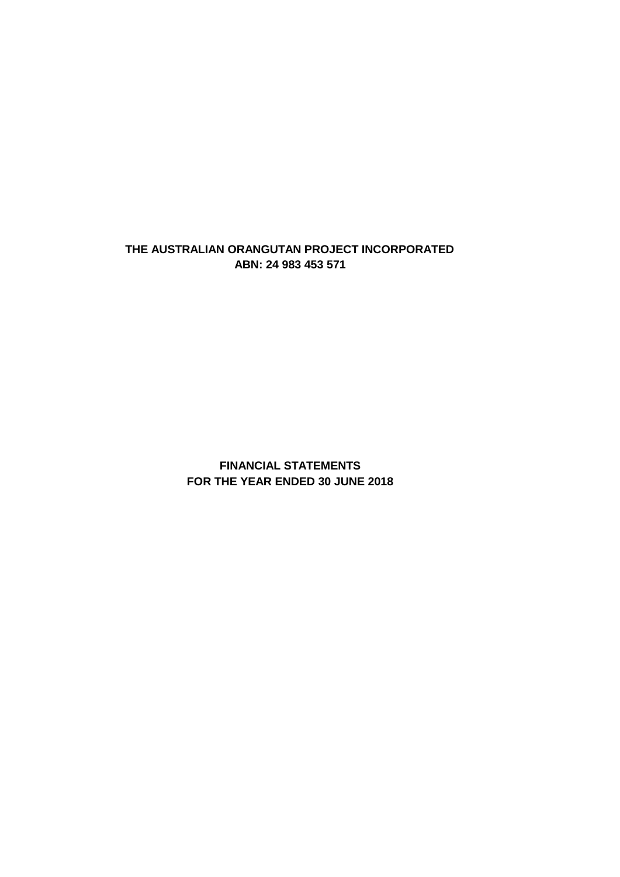### **ABN: 24 983 453 571 THE AUSTRALIAN ORANGUTAN PROJECT INCORPORATED**

**FOR THE YEAR ENDED 30 JUNE 2018 FINANCIAL STATEMENTS**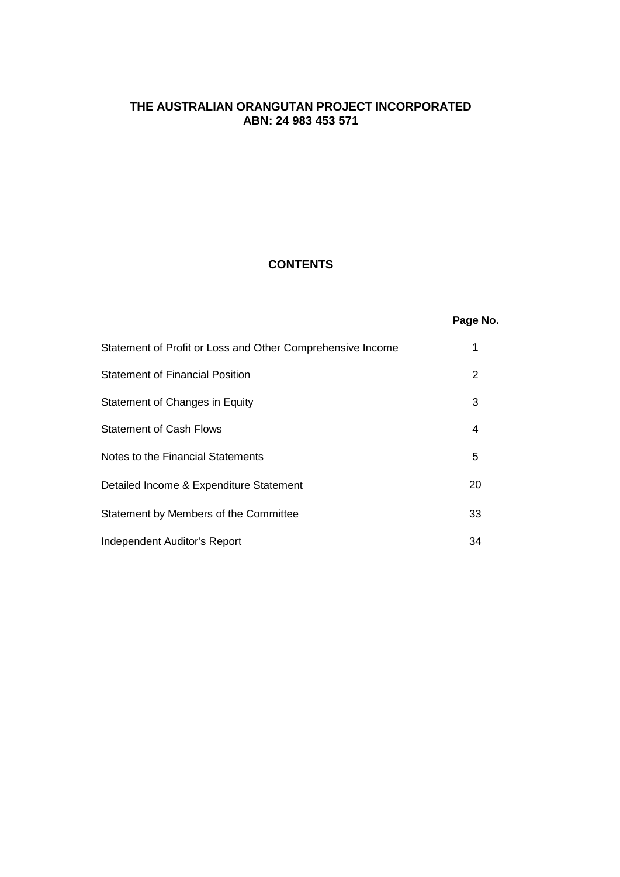### **CONTENTS**

## **Page No.**

| Statement of Profit or Loss and Other Comprehensive Income |    |
|------------------------------------------------------------|----|
| <b>Statement of Financial Position</b>                     | 2  |
| Statement of Changes in Equity                             | 3  |
| <b>Statement of Cash Flows</b>                             | 4  |
| Notes to the Financial Statements                          | 5  |
| Detailed Income & Expenditure Statement                    | 20 |
| Statement by Members of the Committee                      | 33 |
| Independent Auditor's Report                               | 34 |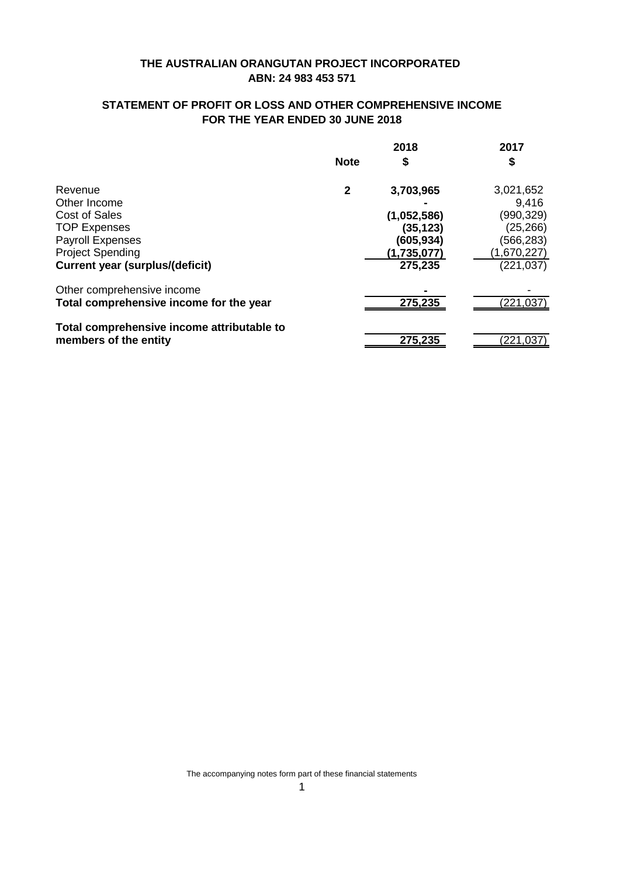## **STATEMENT OF PROFIT OR LOSS AND OTHER COMPREHENSIVE INCOME FOR THE YEAR ENDED 30 JUNE 2018**

|                                            |             | 2018        | 2017        |
|--------------------------------------------|-------------|-------------|-------------|
|                                            | <b>Note</b> | \$          | \$          |
| Revenue                                    | 2           | 3,703,965   | 3,021,652   |
| Other Income                               |             |             | 9,416       |
| Cost of Sales                              |             | (1,052,586) | (990,329)   |
| <b>TOP Expenses</b>                        |             | (35, 123)   | (25, 266)   |
| <b>Payroll Expenses</b>                    |             | (605, 934)  | (566,283)   |
| <b>Project Spending</b>                    |             | (1,735,077) | (1,670,227) |
| <b>Current year (surplus/(deficit)</b>     |             | 275,235     | (221,037)   |
| Other comprehensive income                 |             |             |             |
| Total comprehensive income for the year    |             | 275,235     | 221.037     |
| Total comprehensive income attributable to |             |             |             |
| members of the entity                      |             | 275,235     | (221,037    |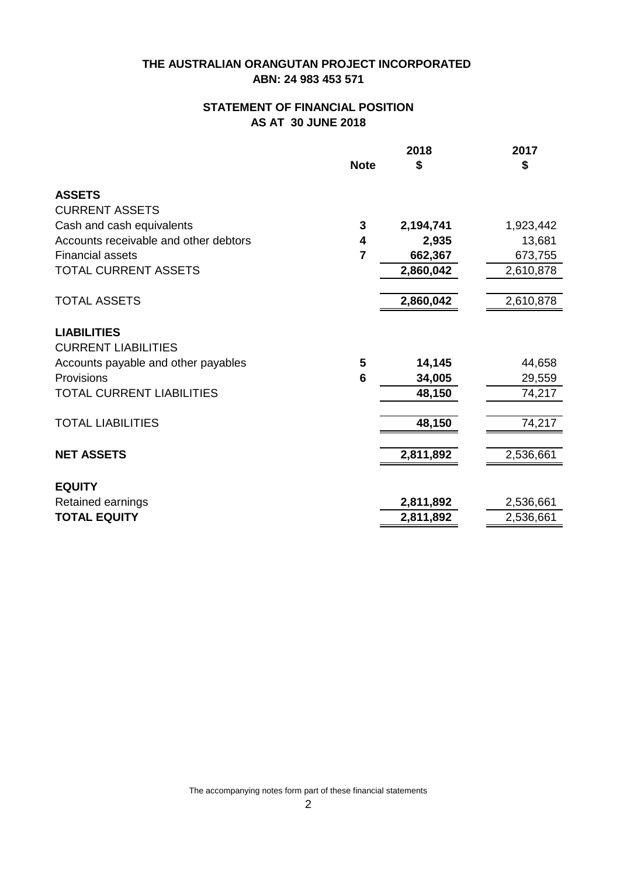## **STATEMENT OF FINANCIAL POSITION AS AT 30 JUNE 2018**

|                                       |                 | 2018      | 2017      |
|---------------------------------------|-----------------|-----------|-----------|
|                                       | <b>Note</b>     | \$        | \$        |
| <b>ASSETS</b>                         |                 |           |           |
| <b>CURRENT ASSETS</b>                 |                 |           |           |
| Cash and cash equivalents             | 3               | 2,194,741 | 1,923,442 |
| Accounts receivable and other debtors | 4               | 2,935     | 13,681    |
| <b>Financial assets</b>               | 7               | 662,367   | 673,755   |
| TOTAL CURRENT ASSETS                  |                 | 2,860,042 | 2,610,878 |
| <b>TOTAL ASSETS</b>                   |                 | 2,860,042 | 2,610,878 |
|                                       |                 |           |           |
| <b>LIABILITIES</b>                    |                 |           |           |
| <b>CURRENT LIABILITIES</b>            |                 |           |           |
| Accounts payable and other payables   | 5               | 14,145    | 44,658    |
| Provisions                            | $6\phantom{1}6$ | 34,005    | 29,559    |
| <b>TOTAL CURRENT LIABILITIES</b>      |                 | 48,150    | 74,217    |
| <b>TOTAL LIABILITIES</b>              |                 | 48,150    | 74,217    |
| <b>NET ASSETS</b>                     |                 | 2,811,892 | 2,536,661 |
|                                       |                 |           |           |
| <b>EQUITY</b>                         |                 |           |           |
| Retained earnings                     |                 | 2,811,892 | 2,536,661 |
| <b>TOTAL EQUITY</b>                   |                 | 2,811,892 | 2,536,661 |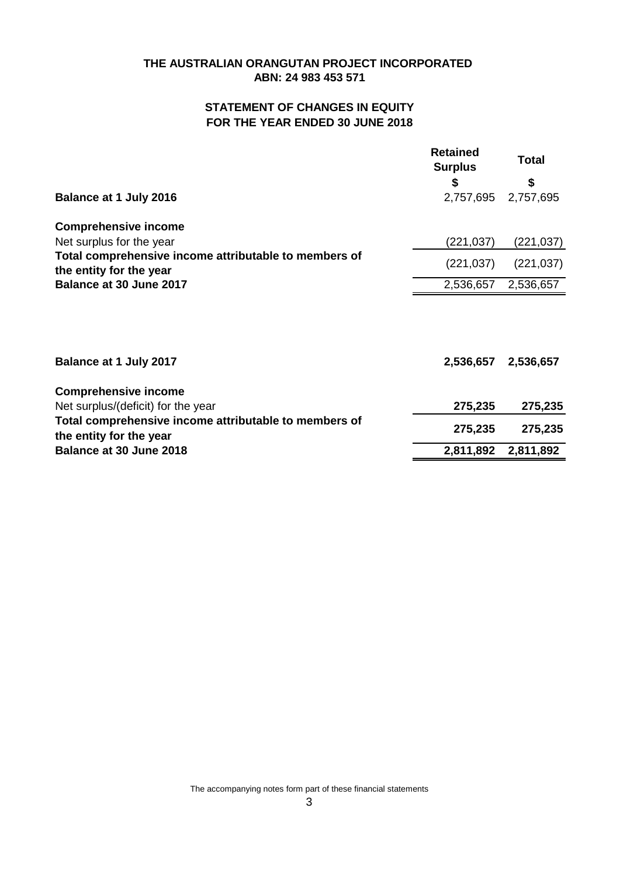## **ABN: 24 983 453 571 THE AUSTRALIAN ORANGUTAN PROJECT INCORPORATED**

# **STATEMENT OF CHANGES IN EQUITY FOR THE YEAR ENDED 30 JUNE 2018**

| <b>Balance at 1 July 2016</b>                                                                                                               | <b>Retained</b><br><b>Surplus</b><br>\$<br>2,757,695 | Total<br>\$<br>2,757,695 |
|---------------------------------------------------------------------------------------------------------------------------------------------|------------------------------------------------------|--------------------------|
| <b>Comprehensive income</b><br>Net surplus for the year<br>Total comprehensive income attributable to members of<br>the entity for the year | (221,037)<br>(221, 037)                              | (221,037)<br>(221, 037)  |
| Balance at 30 June 2017                                                                                                                     | 2,536,657                                            | 2,536,657                |
| Balance at 1 July 2017                                                                                                                      | 2,536,657                                            | 2,536,657                |
| <b>Comprehensive income</b><br>Net surplus/(deficit) for the year                                                                           | 275,235                                              | 275,235                  |
| Total comprehensive income attributable to members of<br>the entity for the year<br>Balance at 30 June 2018                                 | 275,235<br>2,811,892                                 | 275,235<br>2,811,892     |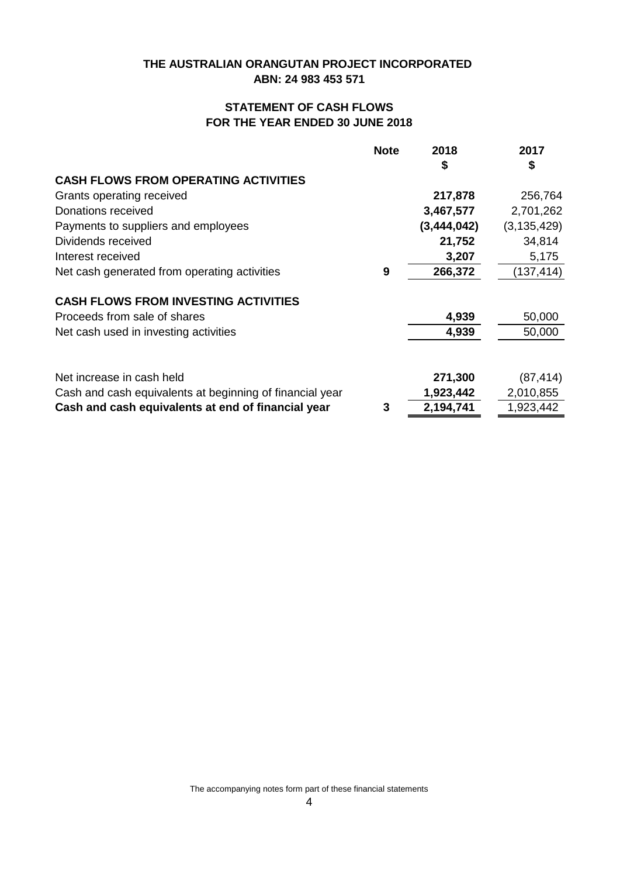# **STATEMENT OF CASH FLOWS FOR THE YEAR ENDED 30 JUNE 2018**

|                                                          | <b>Note</b> | 2018        | 2017          |
|----------------------------------------------------------|-------------|-------------|---------------|
|                                                          |             | \$          | \$            |
| <b>CASH FLOWS FROM OPERATING ACTIVITIES</b>              |             |             |               |
| Grants operating received                                |             | 217,878     | 256,764       |
| Donations received                                       |             | 3,467,577   | 2,701,262     |
| Payments to suppliers and employees                      |             | (3,444,042) | (3, 135, 429) |
| Dividends received                                       |             | 21,752      | 34,814        |
| Interest received                                        |             | 3,207       | 5,175         |
| Net cash generated from operating activities             | 9           | 266,372     | (137, 414)    |
| <b>CASH FLOWS FROM INVESTING ACTIVITIES</b>              |             |             |               |
| Proceeds from sale of shares                             |             | 4,939       | 50,000        |
| Net cash used in investing activities                    |             | 4,939       | 50,000        |
| Net increase in cash held                                |             | 271,300     | (87, 414)     |
| Cash and cash equivalents at beginning of financial year |             | 1,923,442   | 2,010,855     |
| Cash and cash equivalents at end of financial year       | 3           | 2,194,741   | 1,923,442     |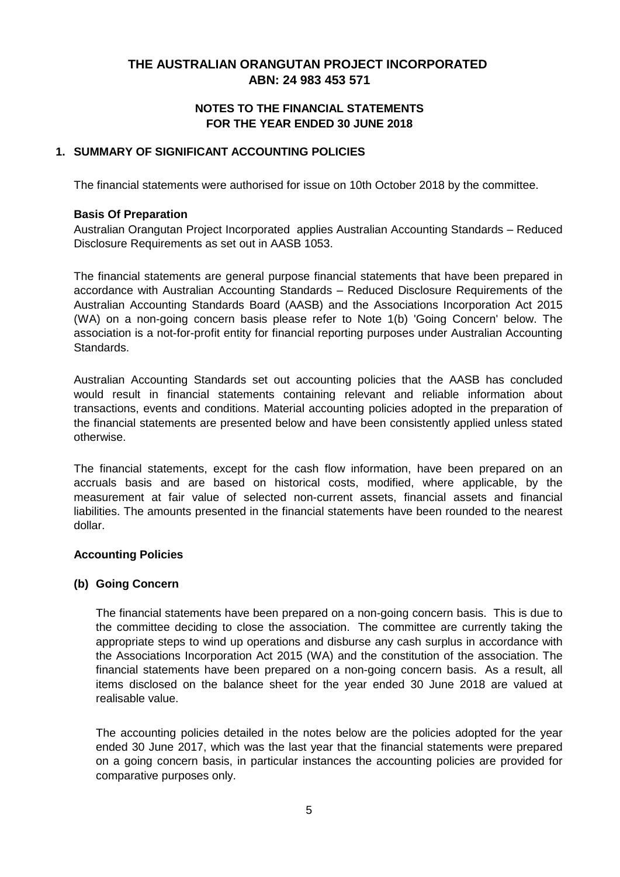### **FOR THE YEAR ENDED 30 JUNE 2018 NOTES TO THE FINANCIAL STATEMENTS**

### **1. SUMMARY OF SIGNIFICANT ACCOUNTING POLICIES**

The financial statements were authorised for issue on 10th October 2018 by the committee.

#### **Basis Of Preparation**

Australian Orangutan Project Incorporated applies Australian Accounting Standards – Reduced Disclosure Requirements as set out in AASB 1053.

The financial statements are general purpose financial statements that have been prepared in accordance with Australian Accounting Standards – Reduced Disclosure Requirements of the Australian Accounting Standards Board (AASB) and the Associations Incorporation Act 2015 (WA) on a non-going concern basis please refer to Note 1(b) 'Going Concern' below. The association is a not-for-profit entity for financial reporting purposes under Australian Accounting Standards.

Australian Accounting Standards set out accounting policies that the AASB has concluded would result in financial statements containing relevant and reliable information about transactions, events and conditions. Material accounting policies adopted in the preparation of the financial statements are presented below and have been consistently applied unless stated otherwise.

The financial statements, except for the cash flow information, have been prepared on an accruals basis and are based on historical costs, modified, where applicable, by the measurement at fair value of selected non-current assets, financial assets and financial liabilities. The amounts presented in the financial statements have been rounded to the nearest dollar.

### **Accounting Policies**

### **(b) Going Concern**

The financial statements have been prepared on a non-going concern basis. This is due to the committee deciding to close the association. The committee are currently taking the appropriate steps to wind up operations and disburse any cash surplus in accordance with the Associations Incorporation Act 2015 (WA) and the constitution of the association. The financial statements have been prepared on a non-going concern basis. As a result, all items disclosed on the balance sheet for the year ended 30 June 2018 are valued at realisable value.

The accounting policies detailed in the notes below are the policies adopted for the year ended 30 June 2017, which was the last year that the financial statements were prepared on a going concern basis, in particular instances the accounting policies are provided for comparative purposes only.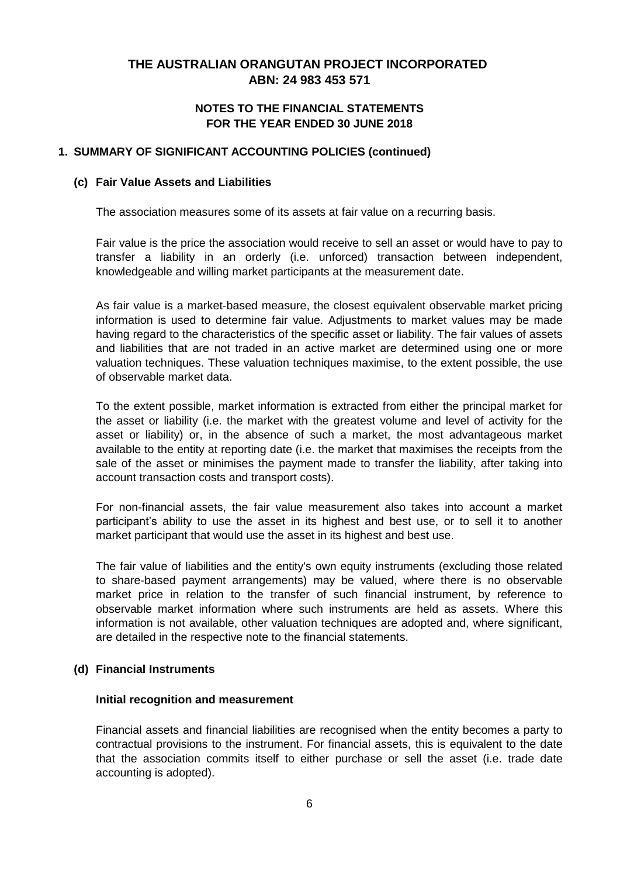### **FOR THE YEAR ENDED 30 JUNE 2018 NOTES TO THE FINANCIAL STATEMENTS**

#### **1. SUMMARY OF SIGNIFICANT ACCOUNTING POLICIES (continued)**

#### **(c) Fair Value Assets and Liabilities**

The association measures some of its assets at fair value on a recurring basis.

Fair value is the price the association would receive to sell an asset or would have to pay to transfer a liability in an orderly (i.e. unforced) transaction between independent, knowledgeable and willing market participants at the measurement date.

As fair value is a market-based measure, the closest equivalent observable market pricing information is used to determine fair value. Adjustments to market values may be made having regard to the characteristics of the specific asset or liability. The fair values of assets and liabilities that are not traded in an active market are determined using one or more valuation techniques. These valuation techniques maximise, to the extent possible, the use of observable market data.

To the extent possible, market information is extracted from either the principal market for the asset or liability (i.e. the market with the greatest volume and level of activity for the asset or liability) or, in the absence of such a market, the most advantageous market available to the entity at reporting date (i.e. the market that maximises the receipts from the sale of the asset or minimises the payment made to transfer the liability, after taking into account transaction costs and transport costs).

For non-financial assets, the fair value measurement also takes into account a market participant's ability to use the asset in its highest and best use, or to sell it to another market participant that would use the asset in its highest and best use.

The fair value of liabilities and the entity's own equity instruments (excluding those related to share-based payment arrangements) may be valued, where there is no observable market price in relation to the transfer of such financial instrument, by reference to observable market information where such instruments are held as assets. Where this information is not available, other valuation techniques are adopted and, where significant, are detailed in the respective note to the financial statements.

### **(d) Financial Instruments**

#### **Initial recognition and measurement**

Financial assets and financial liabilities are recognised when the entity becomes a party to contractual provisions to the instrument. For financial assets, this is equivalent to the date that the association commits itself to either purchase or sell the asset (i.e. trade date accounting is adopted).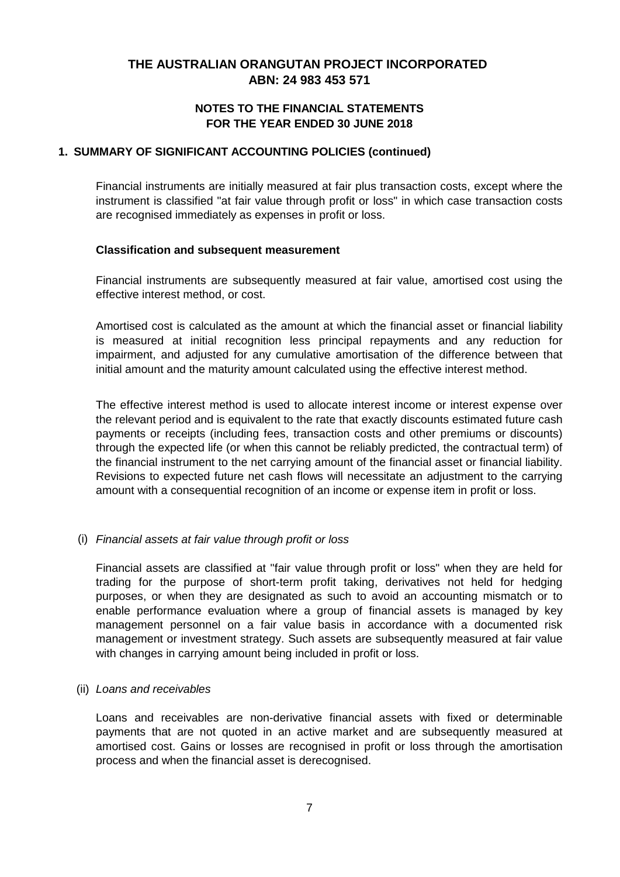### **FOR THE YEAR ENDED 30 JUNE 2018 NOTES TO THE FINANCIAL STATEMENTS**

### **1. SUMMARY OF SIGNIFICANT ACCOUNTING POLICIES (continued)**

Financial instruments are initially measured at fair plus transaction costs, except where the instrument is classified "at fair value through profit or loss" in which case transaction costs are recognised immediately as expenses in profit or loss.

#### **Classification and subsequent measurement**

Financial instruments are subsequently measured at fair value, amortised cost using the effective interest method, or cost.

Amortised cost is calculated as the amount at which the financial asset or financial liability is measured at initial recognition less principal repayments and any reduction for impairment, and adjusted for any cumulative amortisation of the difference between that initial amount and the maturity amount calculated using the effective interest method.

The effective interest method is used to allocate interest income or interest expense over the relevant period and is equivalent to the rate that exactly discounts estimated future cash payments or receipts (including fees, transaction costs and other premiums or discounts) through the expected life (or when this cannot be reliably predicted, the contractual term) of the financial instrument to the net carrying amount of the financial asset or financial liability. Revisions to expected future net cash flows will necessitate an adjustment to the carrying amount with a consequential recognition of an income or expense item in profit or loss.

### (i) *Financial assets at fair value through profit or loss*

Financial assets are classified at "fair value through profit or loss" when they are held for trading for the purpose of short-term profit taking, derivatives not held for hedging purposes, or when they are designated as such to avoid an accounting mismatch or to enable performance evaluation where a group of financial assets is managed by key management personnel on a fair value basis in accordance with a documented risk management or investment strategy. Such assets are subsequently measured at fair value with changes in carrying amount being included in profit or loss.

#### (ii) *Loans and receivables*

Loans and receivables are non-derivative financial assets with fixed or determinable payments that are not quoted in an active market and are subsequently measured at amortised cost. Gains or losses are recognised in profit or loss through the amortisation process and when the financial asset is derecognised.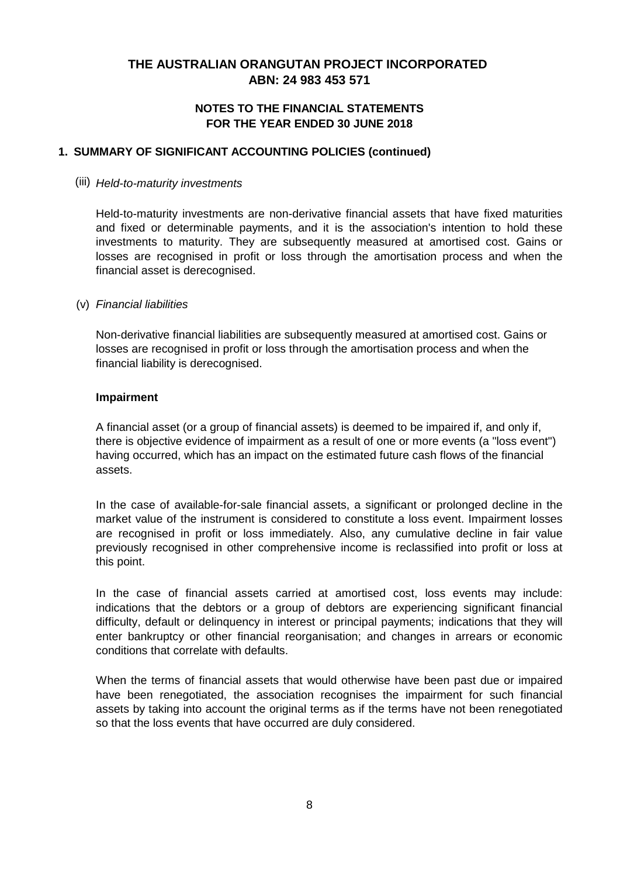### **NOTES TO THE FINANCIAL STATEMENTS FOR THE YEAR ENDED 30 JUNE 2018**

#### **1. SUMMARY OF SIGNIFICANT ACCOUNTING POLICIES (continued)**

#### (iii) *Held-to-maturity investments*

Held-to-maturity investments are non-derivative financial assets that have fixed maturities and fixed or determinable payments, and it is the association's intention to hold these investments to maturity. They are subsequently measured at amortised cost. Gains or losses are recognised in profit or loss through the amortisation process and when the financial asset is derecognised.

#### (v) *Financial liabilities*

Non-derivative financial liabilities are subsequently measured at amortised cost. Gains or losses are recognised in profit or loss through the amortisation process and when the financial liability is derecognised.

#### **Impairment**

A financial asset (or a group of financial assets) is deemed to be impaired if, and only if, there is objective evidence of impairment as a result of one or more events (a "loss event") having occurred, which has an impact on the estimated future cash flows of the financial assets.

In the case of available-for-sale financial assets, a significant or prolonged decline in the market value of the instrument is considered to constitute a loss event. Impairment losses are recognised in profit or loss immediately. Also, any cumulative decline in fair value previously recognised in other comprehensive income is reclassified into profit or loss at this point.

In the case of financial assets carried at amortised cost, loss events may include: indications that the debtors or a group of debtors are experiencing significant financial difficulty, default or delinquency in interest or principal payments; indications that they will enter bankruptcy or other financial reorganisation; and changes in arrears or economic conditions that correlate with defaults.

When the terms of financial assets that would otherwise have been past due or impaired have been renegotiated, the association recognises the impairment for such financial assets by taking into account the original terms as if the terms have not been renegotiated so that the loss events that have occurred are duly considered.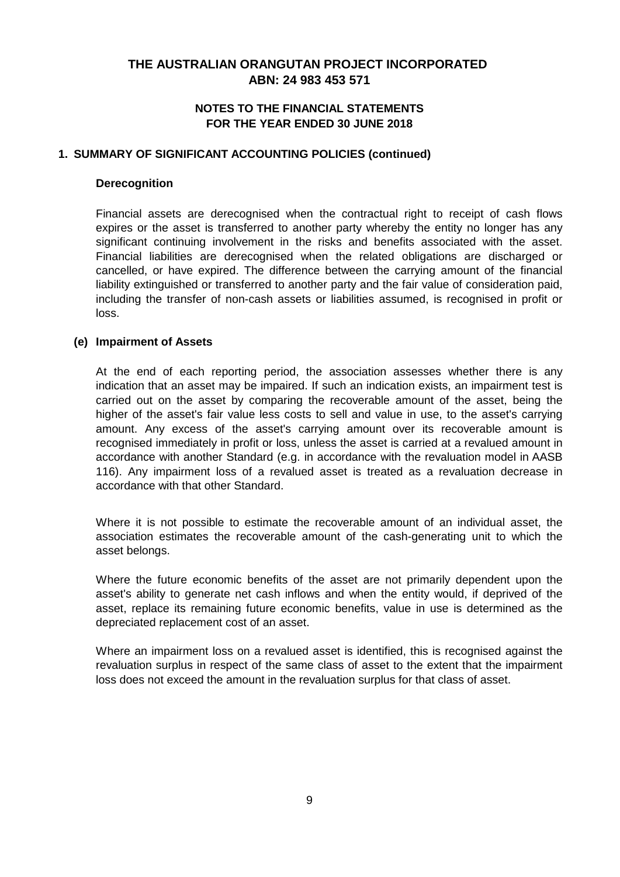### **NOTES TO THE FINANCIAL STATEMENTS FOR THE YEAR ENDED 30 JUNE 2018**

#### **1. SUMMARY OF SIGNIFICANT ACCOUNTING POLICIES (continued)**

#### **Derecognition**

Financial assets are derecognised when the contractual right to receipt of cash flows expires or the asset is transferred to another party whereby the entity no longer has any significant continuing involvement in the risks and benefits associated with the asset. Financial liabilities are derecognised when the related obligations are discharged or cancelled, or have expired. The difference between the carrying amount of the financial liability extinguished or transferred to another party and the fair value of consideration paid, including the transfer of non-cash assets or liabilities assumed, is recognised in profit or loss.

#### **(e) Impairment of Assets**

At the end of each reporting period, the association assesses whether there is any indication that an asset may be impaired. If such an indication exists, an impairment test is carried out on the asset by comparing the recoverable amount of the asset, being the higher of the asset's fair value less costs to sell and value in use, to the asset's carrying amount. Any excess of the asset's carrying amount over its recoverable amount is recognised immediately in profit or loss, unless the asset is carried at a revalued amount in accordance with another Standard (e.g. in accordance with the revaluation model in AASB 116). Any impairment loss of a revalued asset is treated as a revaluation decrease in accordance with that other Standard.

Where it is not possible to estimate the recoverable amount of an individual asset, the association estimates the recoverable amount of the cash-generating unit to which the asset belongs.

Where the future economic benefits of the asset are not primarily dependent upon the asset's ability to generate net cash inflows and when the entity would, if deprived of the asset, replace its remaining future economic benefits, value in use is determined as the depreciated replacement cost of an asset.

Where an impairment loss on a revalued asset is identified, this is recognised against the revaluation surplus in respect of the same class of asset to the extent that the impairment loss does not exceed the amount in the revaluation surplus for that class of asset.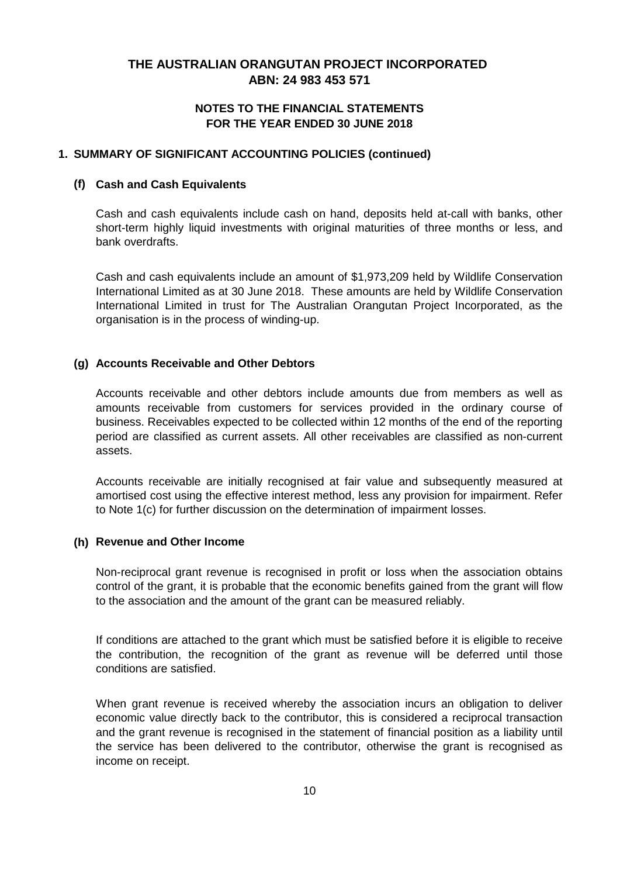### **NOTES TO THE FINANCIAL STATEMENTS FOR THE YEAR ENDED 30 JUNE 2018**

#### **1. SUMMARY OF SIGNIFICANT ACCOUNTING POLICIES (continued)**

#### **(f) Cash and Cash Equivalents**

Cash and cash equivalents include cash on hand, deposits held at-call with banks, other short-term highly liquid investments with original maturities of three months or less, and bank overdrafts.

Cash and cash equivalents include an amount of \$1,973,209 held by Wildlife Conservation International Limited as at 30 June 2018. These amounts are held by Wildlife Conservation International Limited in trust for The Australian Orangutan Project Incorporated, as the organisation is in the process of winding-up.

#### **(g) Accounts Receivable and Other Debtors**

Accounts receivable and other debtors include amounts due from members as well as amounts receivable from customers for services provided in the ordinary course of business. Receivables expected to be collected within 12 months of the end of the reporting period are classified as current assets. All other receivables are classified as non-current assets.

Accounts receivable are initially recognised at fair value and subsequently measured at amortised cost using the effective interest method, less any provision for impairment. Refer to Note 1(c) for further discussion on the determination of impairment losses.

#### **(h) Revenue and Other Income**

Non-reciprocal grant revenue is recognised in profit or loss when the association obtains control of the grant, it is probable that the economic benefits gained from the grant will flow to the association and the amount of the grant can be measured reliably.

If conditions are attached to the grant which must be satisfied before it is eligible to receive the contribution, the recognition of the grant as revenue will be deferred until those conditions are satisfied.

When grant revenue is received whereby the association incurs an obligation to deliver economic value directly back to the contributor, this is considered a reciprocal transaction and the grant revenue is recognised in the statement of financial position as a liability until the service has been delivered to the contributor, otherwise the grant is recognised as income on receipt.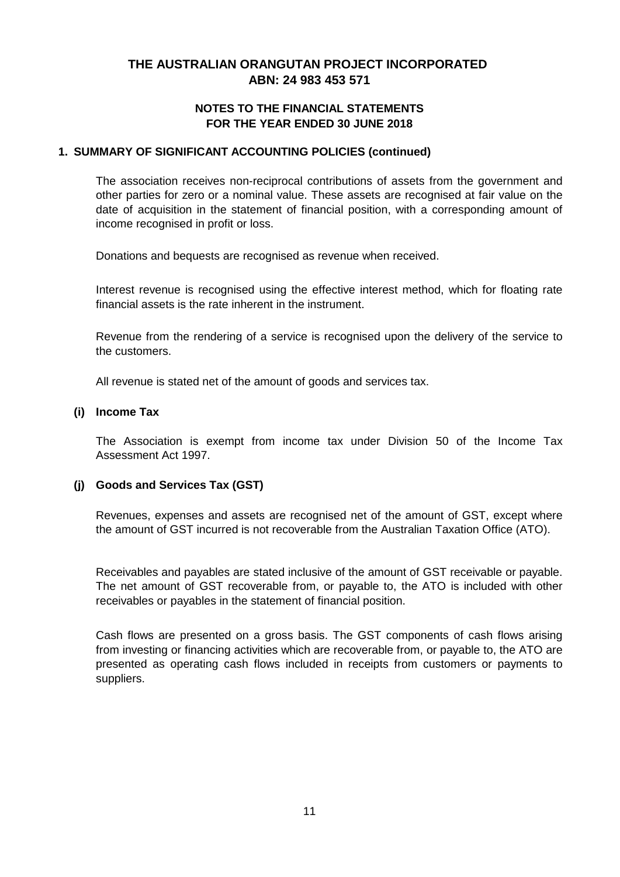### **NOTES TO THE FINANCIAL STATEMENTS FOR THE YEAR ENDED 30 JUNE 2018**

### **1. SUMMARY OF SIGNIFICANT ACCOUNTING POLICIES (continued)**

The association receives non-reciprocal contributions of assets from the government and other parties for zero or a nominal value. These assets are recognised at fair value on the date of acquisition in the statement of financial position, with a corresponding amount of income recognised in profit or loss.

Donations and bequests are recognised as revenue when received.

Interest revenue is recognised using the effective interest method, which for floating rate financial assets is the rate inherent in the instrument.

Revenue from the rendering of a service is recognised upon the delivery of the service to the customers.

All revenue is stated net of the amount of goods and services tax.

#### **(i) Income Tax**

The Association is exempt from income tax under Division 50 of the Income Tax Assessment Act 1997.

### **(j) Goods and Services Tax (GST)**

Revenues, expenses and assets are recognised net of the amount of GST, except where the amount of GST incurred is not recoverable from the Australian Taxation Office (ATO).

Receivables and payables are stated inclusive of the amount of GST receivable or payable. The net amount of GST recoverable from, or payable to, the ATO is included with other receivables or payables in the statement of financial position.

Cash flows are presented on a gross basis. The GST components of cash flows arising from investing or financing activities which are recoverable from, or payable to, the ATO are presented as operating cash flows included in receipts from customers or payments to suppliers.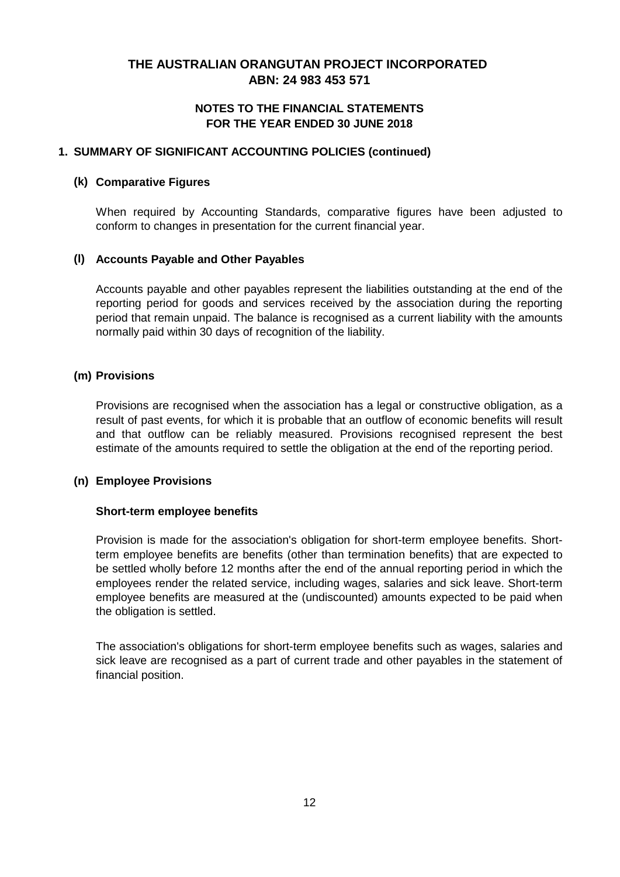### **NOTES TO THE FINANCIAL STATEMENTS FOR THE YEAR ENDED 30 JUNE 2018**

#### **1. SUMMARY OF SIGNIFICANT ACCOUNTING POLICIES (continued)**

#### **(k) Comparative Figures**

When required by Accounting Standards, comparative figures have been adjusted to conform to changes in presentation for the current financial year.

#### **(l) Accounts Payable and Other Payables**

Accounts payable and other payables represent the liabilities outstanding at the end of the reporting period for goods and services received by the association during the reporting period that remain unpaid. The balance is recognised as a current liability with the amounts normally paid within 30 days of recognition of the liability.

#### **(m) Provisions**

Provisions are recognised when the association has a legal or constructive obligation, as a result of past events, for which it is probable that an outflow of economic benefits will result and that outflow can be reliably measured. Provisions recognised represent the best estimate of the amounts required to settle the obligation at the end of the reporting period.

#### **(n) Employee Provisions**

#### **Short-term employee benefits**

Provision is made for the association's obligation for short-term employee benefits. Shortterm employee benefits are benefits (other than termination benefits) that are expected to be settled wholly before 12 months after the end of the annual reporting period in which the employees render the related service, including wages, salaries and sick leave. Short-term employee benefits are measured at the (undiscounted) amounts expected to be paid when the obligation is settled.

The association's obligations for short-term employee benefits such as wages, salaries and sick leave are recognised as a part of current trade and other payables in the statement of financial position.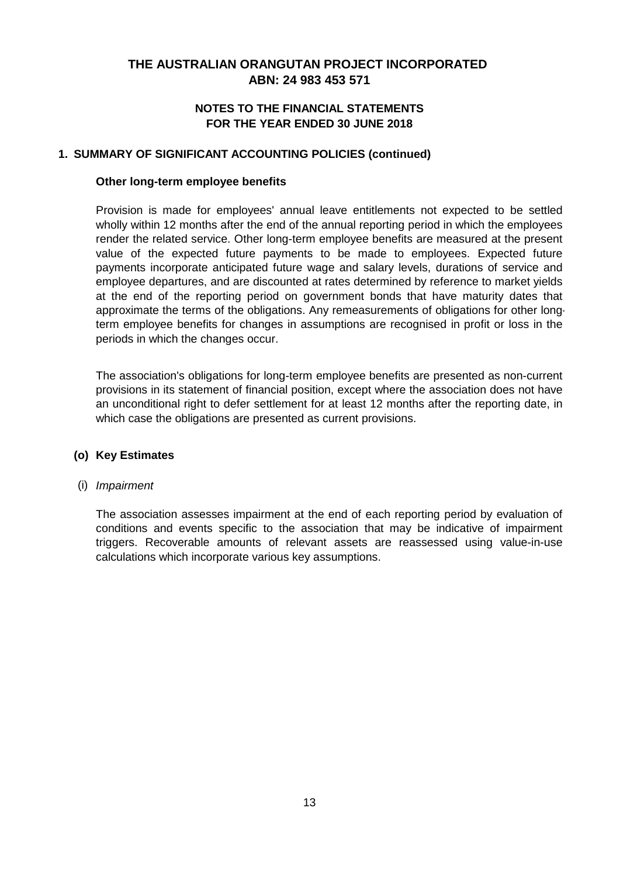### **NOTES TO THE FINANCIAL STATEMENTS FOR THE YEAR ENDED 30 JUNE 2018**

#### **1. SUMMARY OF SIGNIFICANT ACCOUNTING POLICIES (continued)**

#### **Other long-term employee benefits**

Provision is made for employees' annual leave entitlements not expected to be settled wholly within 12 months after the end of the annual reporting period in which the employees render the related service. Other long-term employee benefits are measured at the present value of the expected future payments to be made to employees. Expected future payments incorporate anticipated future wage and salary levels, durations of service and employee departures, and are discounted at rates determined by reference to market yields at the end of the reporting period on government bonds that have maturity dates that approximate the terms of the obligations. Any remeasurements of obligations for other longterm employee benefits for changes in assumptions are recognised in profit or loss in the periods in which the changes occur.

The association's obligations for long-term employee benefits are presented as non-current provisions in its statement of financial position, except where the association does not have an unconditional right to defer settlement for at least 12 months after the reporting date, in which case the obligations are presented as current provisions.

### **(o) Key Estimates**

### (i) *Impairment*

The association assesses impairment at the end of each reporting period by evaluation of conditions and events specific to the association that may be indicative of impairment triggers. Recoverable amounts of relevant assets are reassessed using value-in-use calculations which incorporate various key assumptions.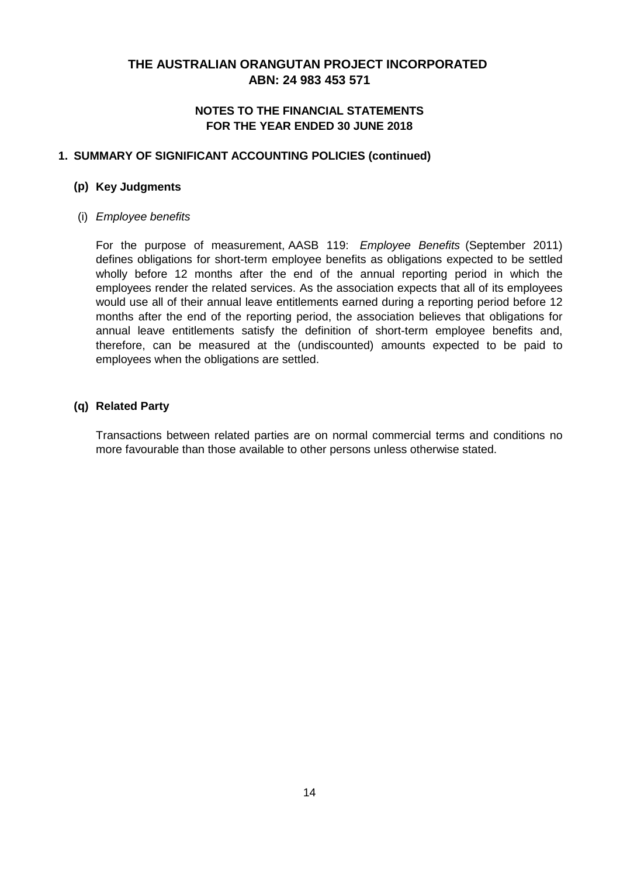### **NOTES TO THE FINANCIAL STATEMENTS FOR THE YEAR ENDED 30 JUNE 2018**

### **1. SUMMARY OF SIGNIFICANT ACCOUNTING POLICIES (continued)**

#### **(p) Key Judgments**

#### (i) *Employee benefits*

For the purpose of measurement, AASB 119: *Employee Benefits* (September 2011) defines obligations for short-term employee benefits as obligations expected to be settled wholly before 12 months after the end of the annual reporting period in which the employees render the related services. As the association expects that all of its employees would use all of their annual leave entitlements earned during a reporting period before 12 months after the end of the reporting period, the association believes that obligations for annual leave entitlements satisfy the definition of short-term employee benefits and, therefore, can be measured at the (undiscounted) amounts expected to be paid to employees when the obligations are settled.

### **(q) Related Party**

Transactions between related parties are on normal commercial terms and conditions no more favourable than those available to other persons unless otherwise stated.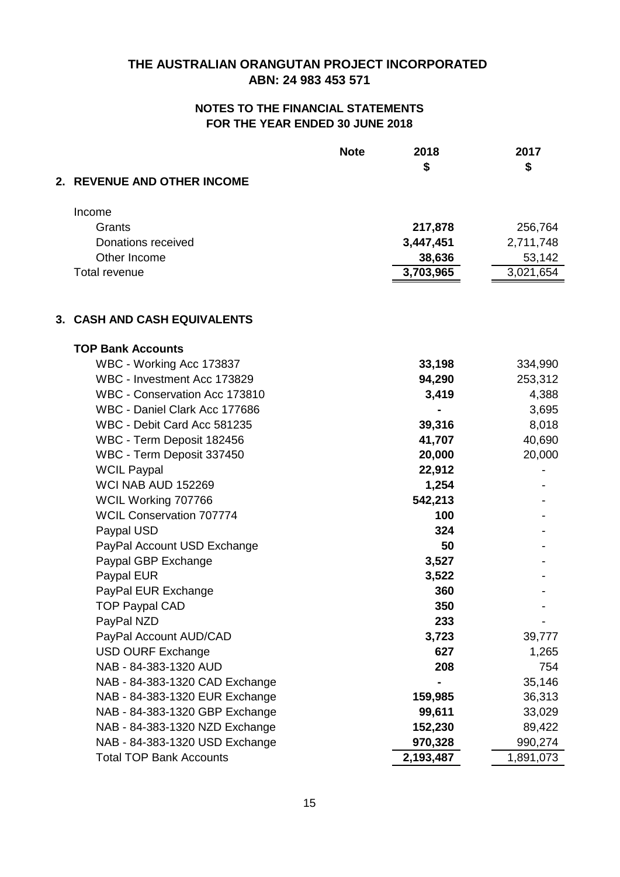|                                 | <b>Note</b> | 2018<br>\$ | 2017<br>\$ |
|---------------------------------|-------------|------------|------------|
| 2. REVENUE AND OTHER INCOME     |             |            |            |
| Income                          |             |            |            |
| Grants                          |             | 217,878    | 256,764    |
| Donations received              |             | 3,447,451  | 2,711,748  |
| Other Income                    |             | 38,636     | 53,142     |
| Total revenue                   |             | 3,703,965  | 3,021,654  |
| 3. CASH AND CASH EQUIVALENTS    |             |            |            |
| <b>TOP Bank Accounts</b>        |             |            |            |
| WBC - Working Acc 173837        |             | 33,198     | 334,990    |
| WBC - Investment Acc 173829     |             | 94,290     | 253,312    |
| WBC - Conservation Acc 173810   |             | 3,419      | 4,388      |
| WBC - Daniel Clark Acc 177686   |             |            | 3,695      |
| WBC - Debit Card Acc 581235     |             | 39,316     | 8,018      |
| WBC - Term Deposit 182456       |             | 41,707     | 40,690     |
| WBC - Term Deposit 337450       |             | 20,000     | 20,000     |
| <b>WCIL Paypal</b>              |             | 22,912     |            |
| WCI NAB AUD 152269              |             | 1,254      |            |
| WCIL Working 707766             |             | 542,213    |            |
| <b>WCIL Conservation 707774</b> |             | 100        |            |
| Paypal USD                      |             | 324        |            |
| PayPal Account USD Exchange     |             | 50         |            |
| Paypal GBP Exchange             |             | 3,527      |            |
| Paypal EUR                      |             | 3,522      |            |
| PayPal EUR Exchange             |             | 360        |            |
| <b>TOP Paypal CAD</b>           |             | 350        |            |
| PayPal NZD                      |             | 233        |            |
| PayPal Account AUD/CAD          |             | 3,723      | 39,777     |
| <b>USD OURF Exchange</b>        |             | 627        | 1,265      |
| NAB - 84-383-1320 AUD           |             | 208        | 754        |
| NAB - 84-383-1320 CAD Exchange  |             |            | 35,146     |
| NAB - 84-383-1320 EUR Exchange  |             | 159,985    | 36,313     |
| NAB - 84-383-1320 GBP Exchange  |             | 99,611     | 33,029     |
| NAB - 84-383-1320 NZD Exchange  |             | 152,230    | 89,422     |
| NAB - 84-383-1320 USD Exchange  |             | 970,328    | 990,274    |
| <b>Total TOP Bank Accounts</b>  |             | 2,193,487  | 1,891,073  |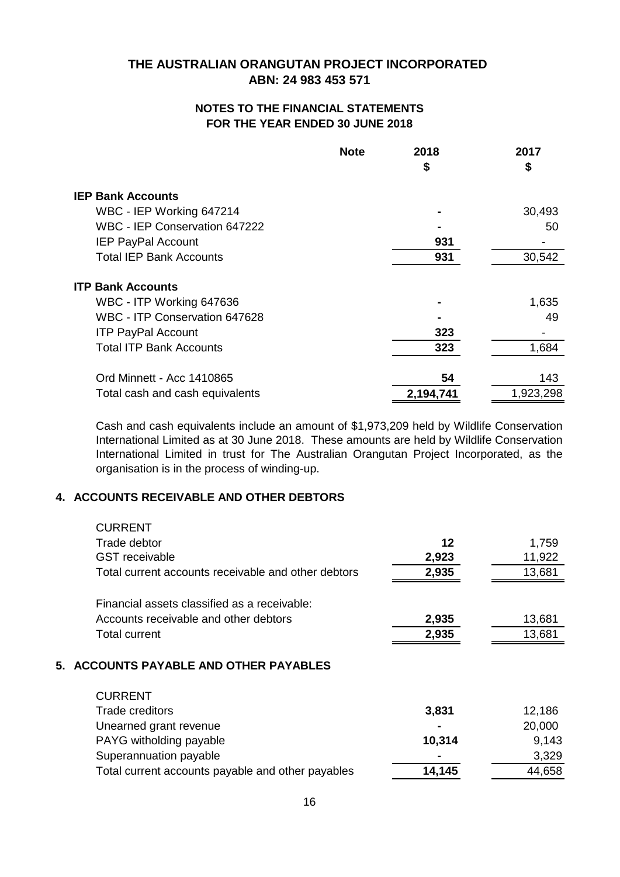### **NOTES TO THE FINANCIAL STATEMENTS FOR THE YEAR ENDED 30 JUNE 2018**

|                                 | <b>Note</b> | 2018<br>\$ | 2017<br>\$ |
|---------------------------------|-------------|------------|------------|
| <b>IEP Bank Accounts</b>        |             |            |            |
| WBC - IEP Working 647214        |             |            | 30,493     |
| WBC - IEP Conservation 647222   |             |            | 50         |
| <b>IEP PayPal Account</b>       |             | 931        |            |
| <b>Total IEP Bank Accounts</b>  |             | 931        | 30,542     |
| <b>ITP Bank Accounts</b>        |             |            |            |
| WBC - ITP Working 647636        |             |            | 1,635      |
| WBC - ITP Conservation 647628   |             |            | 49         |
| <b>ITP PayPal Account</b>       |             | 323        |            |
| <b>Total ITP Bank Accounts</b>  |             | 323        | 1,684      |
| Ord Minnett - Acc 1410865       |             | 54         | 143        |
| Total cash and cash equivalents |             | 2,194,741  | 1,923,298  |

Cash and cash equivalents include an amount of \$1,973,209 held by Wildlife Conservation International Limited as at 30 June 2018. These amounts are held by Wildlife Conservation International Limited in trust for The Australian Orangutan Project Incorporated, as the organisation is in the process of winding-up.

## **4. ACCOUNTS RECEIVABLE AND OTHER DEBTORS**

| <b>CURRENT</b>                                      |        |        |
|-----------------------------------------------------|--------|--------|
| Trade debtor                                        | 12     | 1,759  |
| <b>GST</b> receivable                               | 2,923  | 11,922 |
| Total current accounts receivable and other debtors | 2,935  | 13,681 |
| Financial assets classified as a receivable:        |        |        |
| Accounts receivable and other debtors               | 2,935  | 13,681 |
| <b>Total current</b>                                | 2,935  | 13,681 |
| 5. ACCOUNTS PAYABLE AND OTHER PAYABLES              |        |        |
| <b>CURRENT</b>                                      |        |        |
| Trade creditors                                     | 3,831  | 12,186 |
| Unearned grant revenue                              |        | 20,000 |
| PAYG witholding payable                             | 10,314 | 9,143  |
| Superannuation payable                              |        | 3,329  |
| Total current accounts payable and other payables   | 14,145 | 44,658 |
|                                                     |        |        |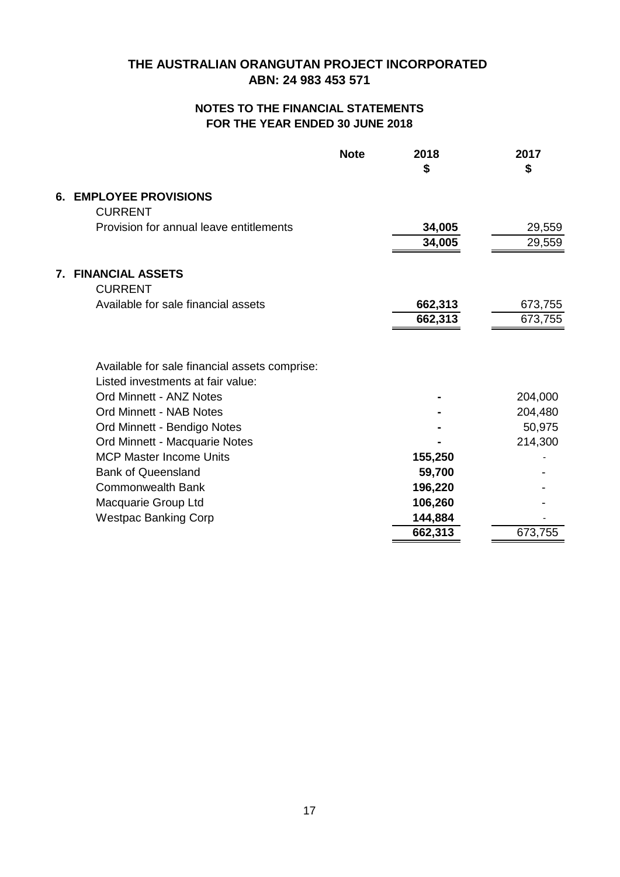## **FOR THE YEAR ENDED 30 JUNE 2018 NOTES TO THE FINANCIAL STATEMENTS**

|    |                                                                                    | <b>Note</b> | 2018<br>\$ | 2017<br>\$ |
|----|------------------------------------------------------------------------------------|-------------|------------|------------|
| 6. | <b>EMPLOYEE PROVISIONS</b><br><b>CURRENT</b>                                       |             |            |            |
|    | Provision for annual leave entitlements                                            |             | 34,005     | 29,559     |
|    |                                                                                    |             | 34,005     | 29,559     |
| 7. | <b>FINANCIAL ASSETS</b><br><b>CURRENT</b>                                          |             |            |            |
|    | Available for sale financial assets                                                |             | 662,313    | 673,755    |
|    |                                                                                    |             | 662,313    | 673,755    |
|    | Available for sale financial assets comprise:<br>Listed investments at fair value: |             |            |            |
|    | Ord Minnett - ANZ Notes                                                            |             |            | 204,000    |
|    | <b>Ord Minnett - NAB Notes</b>                                                     |             |            | 204,480    |
|    | Ord Minnett - Bendigo Notes                                                        |             |            | 50,975     |
|    | Ord Minnett - Macquarie Notes                                                      |             |            | 214,300    |
|    | <b>MCP Master Income Units</b>                                                     |             | 155,250    |            |
|    | <b>Bank of Queensland</b>                                                          |             | 59,700     |            |
|    | <b>Commonwealth Bank</b>                                                           |             | 196,220    |            |
|    | Macquarie Group Ltd                                                                |             | 106,260    |            |
|    | <b>Westpac Banking Corp</b>                                                        |             | 144,884    |            |
|    |                                                                                    |             | 662,313    | 673,755    |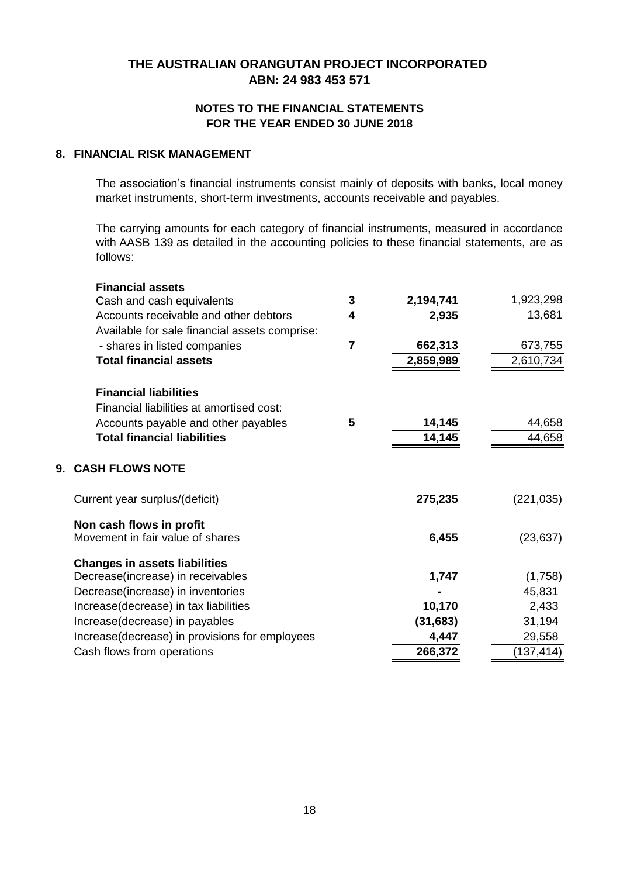# **ABN: 24 983 453 571 THE AUSTRALIAN ORANGUTAN PROJECT INCORPORATED**

### **FOR THE YEAR ENDED 30 JUNE 2018 NOTES TO THE FINANCIAL STATEMENTS**

#### **8. FINANCIAL RISK MANAGEMENT**

The association's financial instruments consist mainly of deposits with banks, local money market instruments, short-term investments, accounts receivable and payables.

The carrying amounts for each category of financial instruments, measured in accordance with AASB 139 as detailed in the accounting policies to these financial statements, are as follows:

| <b>Financial assets</b>                                                   |                |           |            |
|---------------------------------------------------------------------------|----------------|-----------|------------|
| Cash and cash equivalents                                                 | 3              | 2,194,741 | 1,923,298  |
| Accounts receivable and other debtors                                     | 4              | 2,935     | 13,681     |
| Available for sale financial assets comprise:                             |                |           |            |
| - shares in listed companies                                              | $\overline{7}$ | 662,313   | 673,755    |
| <b>Total financial assets</b>                                             |                | 2,859,989 | 2,610,734  |
| <b>Financial liabilities</b>                                              |                |           |            |
| Financial liabilities at amortised cost:                                  |                |           |            |
| Accounts payable and other payables                                       | 5              | 14,145    | 44,658     |
| <b>Total financial liabilities</b>                                        |                | 14,145    | 44,658     |
|                                                                           |                |           |            |
| 9. CASH FLOWS NOTE                                                        |                |           |            |
| Current year surplus/(deficit)                                            |                | 275,235   | (221, 035) |
| Non cash flows in profit                                                  |                |           |            |
| Movement in fair value of shares                                          |                | 6,455     | (23, 637)  |
|                                                                           |                |           |            |
| <b>Changes in assets liabilities</b><br>Decrease(increase) in receivables |                | 1,747     | (1,758)    |
|                                                                           |                |           | 45,831     |
| Decrease(increase) in inventories                                         |                |           |            |
| Increase(decrease) in tax liabilities                                     |                | 10,170    | 2,433      |
| Increase(decrease) in payables                                            |                | (31, 683) | 31,194     |
| Increase(decrease) in provisions for employees                            |                | 4,447     | 29,558     |
| Cash flows from operations                                                |                | 266,372   | (137, 414) |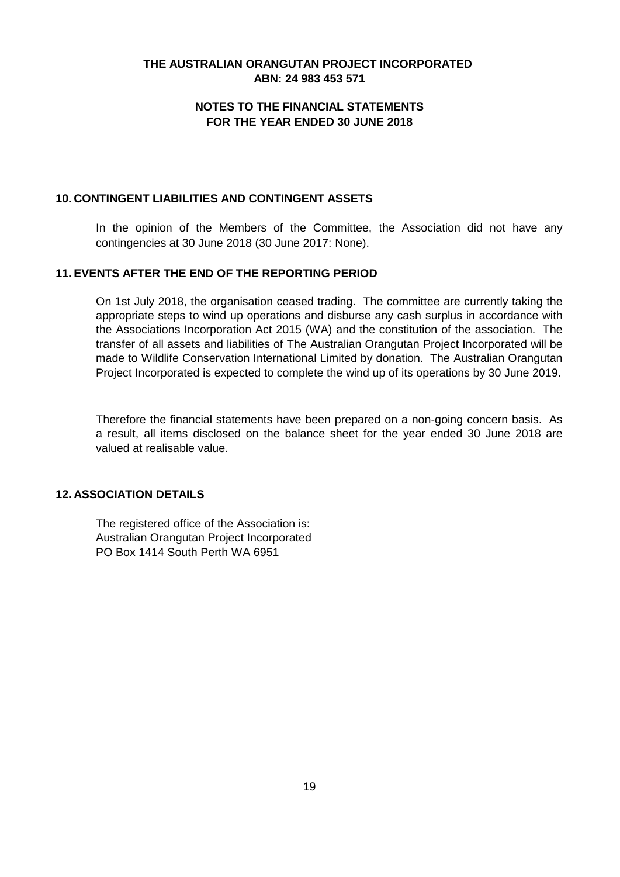## **ABN: 24 983 453 571 THE AUSTRALIAN ORANGUTAN PROJECT INCORPORATED**

## **NOTES TO THE FINANCIAL STATEMENTS FOR THE YEAR ENDED 30 JUNE 2018**

#### **10. CONTINGENT LIABILITIES AND CONTINGENT ASSETS**

In the opinion of the Members of the Committee, the Association did not have any contingencies at 30 June 2018 (30 June 2017: None).

### **11. EVENTS AFTER THE END OF THE REPORTING PERIOD**

On 1st July 2018, the organisation ceased trading. The committee are currently taking the appropriate steps to wind up operations and disburse any cash surplus in accordance with the Associations Incorporation Act 2015 (WA) and the constitution of the association. The transfer of all assets and liabilities of The Australian Orangutan Project Incorporated will be made to Wildlife Conservation International Limited by donation. The Australian Orangutan Project Incorporated is expected to complete the wind up of its operations by 30 June 2019.

Therefore the financial statements have been prepared on a non-going concern basis. As a result, all items disclosed on the balance sheet for the year ended 30 June 2018 are valued at realisable value.

#### **12. ASSOCIATION DETAILS**

The registered office of the Association is: Australian Orangutan Project Incorporated PO Box 1414 South Perth WA 6951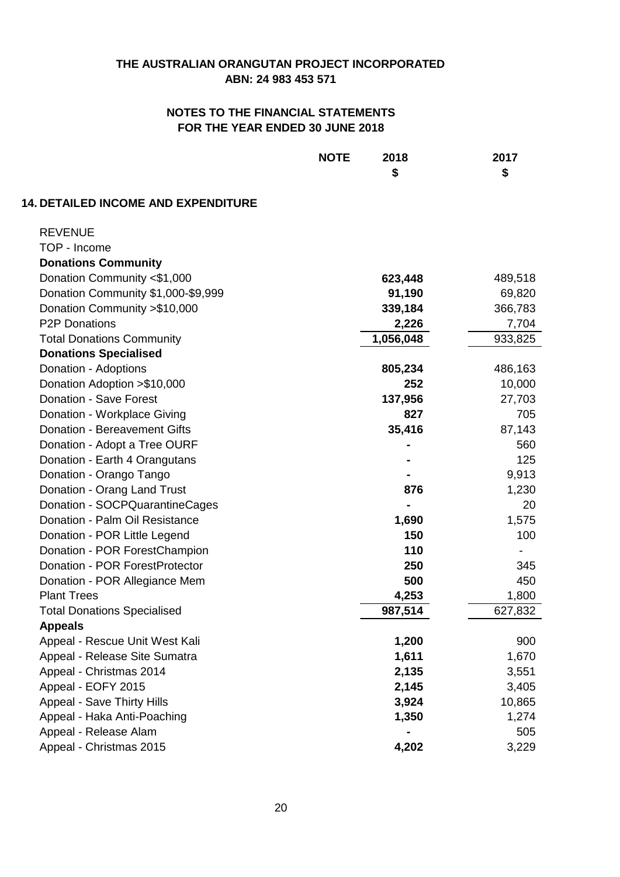|                                            | <b>NOTE</b><br>2018<br>\$ | 2017<br>\$ |
|--------------------------------------------|---------------------------|------------|
| <b>14. DETAILED INCOME AND EXPENDITURE</b> |                           |            |
| <b>REVENUE</b>                             |                           |            |
| TOP - Income                               |                           |            |
| <b>Donations Community</b>                 |                           |            |
| Donation Community <\$1,000                | 623,448                   | 489,518    |
| Donation Community \$1,000-\$9,999         | 91,190                    | 69,820     |
| Donation Community > \$10,000              | 339,184                   | 366,783    |
| <b>P2P Donations</b>                       | 2,226                     | 7,704      |
| <b>Total Donations Community</b>           | 1,056,048                 | 933,825    |
| <b>Donations Specialised</b>               |                           |            |
| Donation - Adoptions                       | 805,234                   | 486,163    |
| Donation Adoption > \$10,000               | 252                       | 10,000     |
| Donation - Save Forest                     | 137,956                   | 27,703     |
| Donation - Workplace Giving                | 827                       | 705        |
| <b>Donation - Bereavement Gifts</b>        | 35,416                    | 87,143     |
| Donation - Adopt a Tree OURF               |                           | 560        |
| Donation - Earth 4 Orangutans              |                           | 125        |
| Donation - Orango Tango                    |                           | 9,913      |
| Donation - Orang Land Trust                | 876                       | 1,230      |
| Donation - SOCPQuarantineCages             |                           | 20         |
| Donation - Palm Oil Resistance             | 1,690                     | 1,575      |
| Donation - POR Little Legend               | 150                       | 100        |
| Donation - POR ForestChampion              | 110                       |            |
| Donation - POR ForestProtector             | 250                       | 345        |
| Donation - POR Allegiance Mem              | 500                       | 450        |
| <b>Plant Trees</b>                         | 4,253                     | 1,800      |
| <b>Total Donations Specialised</b>         | 987,514                   | 627,832    |
| <b>Appeals</b>                             |                           |            |
| Appeal - Rescue Unit West Kali             | 1,200                     | 900        |
| Appeal - Release Site Sumatra              | 1,611                     | 1,670      |
| Appeal - Christmas 2014                    | 2,135                     | 3,551      |
| Appeal - EOFY 2015                         | 2,145                     | 3,405      |
| <b>Appeal - Save Thirty Hills</b>          | 3,924                     | 10,865     |
| Appeal - Haka Anti-Poaching                | 1,350                     | 1,274      |
| Appeal - Release Alam                      |                           | 505        |
| Appeal - Christmas 2015                    | 4,202                     | 3,229      |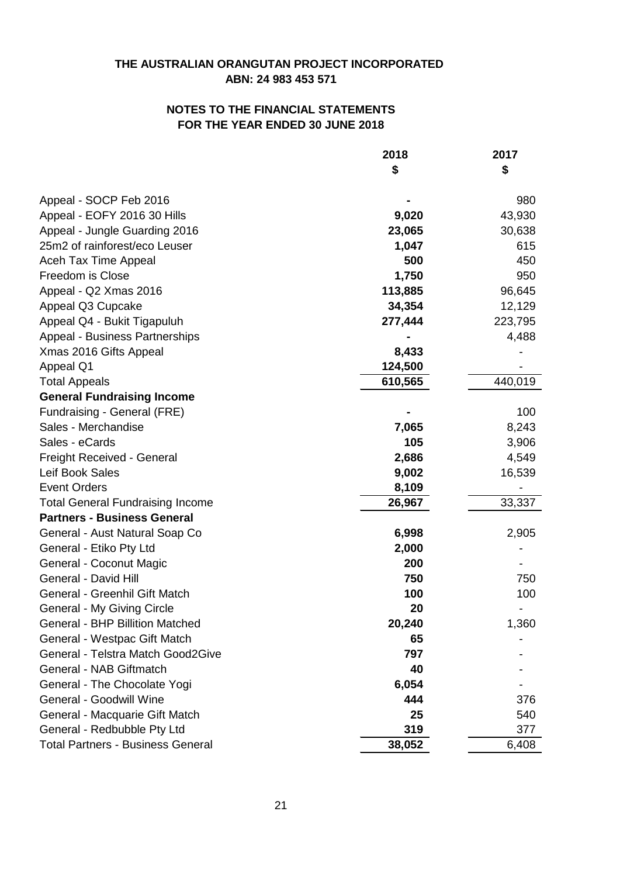|                                          | 2018    | 2017    |
|------------------------------------------|---------|---------|
|                                          | \$      | \$      |
| Appeal - SOCP Feb 2016                   |         | 980     |
| Appeal - EOFY 2016 30 Hills              | 9,020   | 43,930  |
| Appeal - Jungle Guarding 2016            | 23,065  | 30,638  |
| 25m2 of rainforest/eco Leuser            | 1,047   | 615     |
| Aceh Tax Time Appeal                     | 500     | 450     |
| Freedom is Close                         | 1,750   | 950     |
| Appeal - Q2 Xmas 2016                    | 113,885 | 96,645  |
| Appeal Q3 Cupcake                        | 34,354  | 12,129  |
| Appeal Q4 - Bukit Tigapuluh              | 277,444 | 223,795 |
| Appeal - Business Partnerships           |         | 4,488   |
| Xmas 2016 Gifts Appeal                   | 8,433   |         |
| Appeal Q1                                | 124,500 |         |
| <b>Total Appeals</b>                     | 610,565 | 440,019 |
| <b>General Fundraising Income</b>        |         |         |
| Fundraising - General (FRE)              |         | 100     |
| Sales - Merchandise                      | 7,065   | 8,243   |
| Sales - eCards                           | 105     | 3,906   |
| Freight Received - General               | 2,686   | 4,549   |
| Leif Book Sales                          | 9,002   | 16,539  |
| <b>Event Orders</b>                      | 8,109   |         |
| <b>Total General Fundraising Income</b>  | 26,967  | 33,337  |
| <b>Partners - Business General</b>       |         |         |
| General - Aust Natural Soap Co           | 6,998   | 2,905   |
| General - Etiko Pty Ltd                  | 2,000   |         |
| General - Coconut Magic                  | 200     |         |
| General - David Hill                     | 750     | 750     |
| General - Greenhil Gift Match            | 100     | 100     |
| General - My Giving Circle               | 20      |         |
| <b>General - BHP Billition Matched</b>   | 20,240  | 1,360   |
| General - Westpac Gift Match             | 65      |         |
| General - Telstra Match Good2Give        | 797     |         |
| General - NAB Giftmatch                  | 40      |         |
| General - The Chocolate Yogi             | 6,054   |         |
| General - Goodwill Wine                  | 444     | 376     |
| General - Macquarie Gift Match           | 25      | 540     |
| General - Redbubble Pty Ltd              | 319     | 377     |
| <b>Total Partners - Business General</b> | 38,052  | 6,408   |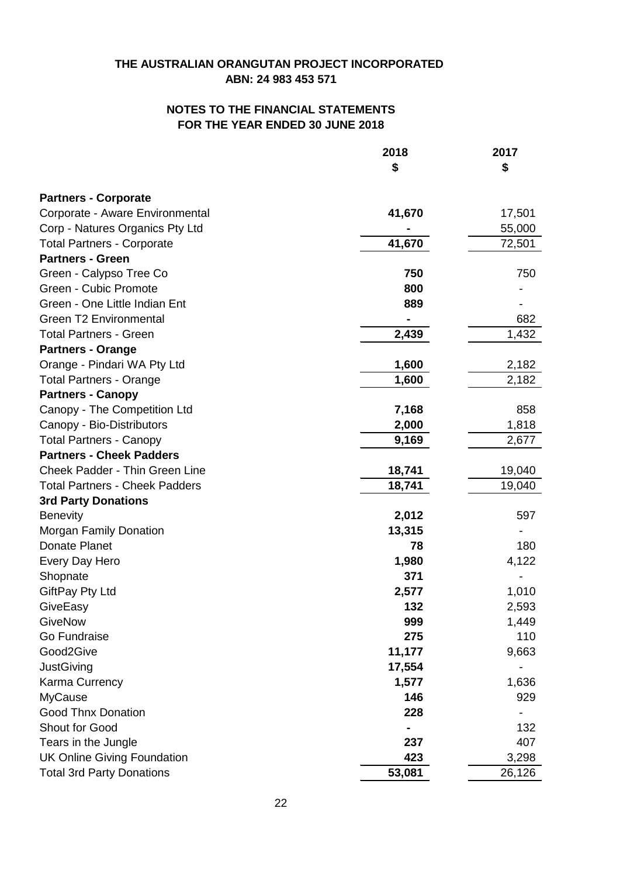|                                       | 2018   | 2017   |
|---------------------------------------|--------|--------|
|                                       | \$     | \$     |
| <b>Partners - Corporate</b>           |        |        |
| Corporate - Aware Environmental       | 41,670 | 17,501 |
| Corp - Natures Organics Pty Ltd       |        | 55,000 |
| <b>Total Partners - Corporate</b>     | 41,670 | 72,501 |
| <b>Partners - Green</b>               |        |        |
| Green - Calypso Tree Co               | 750    | 750    |
| Green - Cubic Promote                 | 800    |        |
| Green - One Little Indian Ent         | 889    |        |
| <b>Green T2 Environmental</b>         |        | 682    |
| <b>Total Partners - Green</b>         | 2,439  | 1,432  |
| <b>Partners - Orange</b>              |        |        |
| Orange - Pindari WA Pty Ltd           | 1,600  | 2,182  |
| <b>Total Partners - Orange</b>        | 1,600  | 2,182  |
| <b>Partners - Canopy</b>              |        |        |
| Canopy - The Competition Ltd          | 7,168  | 858    |
| Canopy - Bio-Distributors             | 2,000  | 1,818  |
| <b>Total Partners - Canopy</b>        | 9,169  | 2,677  |
| <b>Partners - Cheek Padders</b>       |        |        |
| Cheek Padder - Thin Green Line        | 18,741 | 19,040 |
| <b>Total Partners - Cheek Padders</b> | 18,741 | 19,040 |
| <b>3rd Party Donations</b>            |        |        |
| <b>Benevity</b>                       | 2,012  | 597    |
| <b>Morgan Family Donation</b>         | 13,315 |        |
| Donate Planet                         | 78     | 180    |
| Every Day Hero                        | 1,980  | 4,122  |
| Shopnate                              | 371    |        |
| GiftPay Pty Ltd                       | 2,577  | 1,010  |
| GiveEasy                              | 132    | 2,593  |
| GiveNow                               | 999    | 1,449  |
| Go Fundraise                          | 275    | 110    |
| Good2Give                             | 11,177 | 9,663  |
| JustGiving                            | 17,554 |        |
| Karma Currency                        | 1,577  | 1,636  |
| MyCause                               | 146    | 929    |
| <b>Good Thnx Donation</b>             | 228    |        |
| Shout for Good                        |        | 132    |
| Tears in the Jungle                   | 237    | 407    |
| <b>UK Online Giving Foundation</b>    | 423    | 3,298  |
| <b>Total 3rd Party Donations</b>      | 53,081 | 26,126 |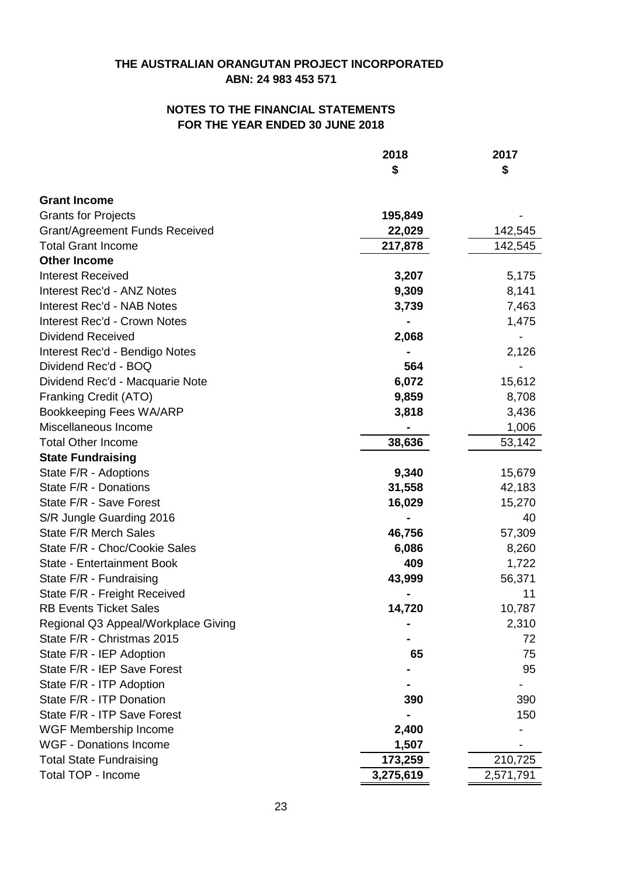## **FOR THE YEAR ENDED 30 JUNE 2018 NOTES TO THE FINANCIAL STATEMENTS**

|                                       | 2018<br>\$ | 2017<br>\$ |
|---------------------------------------|------------|------------|
|                                       |            |            |
| <b>Grant Income</b>                   |            |            |
| <b>Grants for Projects</b>            | 195,849    |            |
| <b>Grant/Agreement Funds Received</b> | 22,029     | 142,545    |
| <b>Total Grant Income</b>             | 217,878    | 142,545    |
| <b>Other Income</b>                   |            |            |
| <b>Interest Received</b>              | 3,207      | 5,175      |
| <b>Interest Rec'd - ANZ Notes</b>     | 9,309      | 8,141      |
| <b>Interest Rec'd - NAB Notes</b>     | 3,739      | 7,463      |
| <b>Interest Rec'd - Crown Notes</b>   |            | 1,475      |
| <b>Dividend Received</b>              | 2,068      |            |
| Interest Rec'd - Bendigo Notes        |            | 2,126      |
| Dividend Rec'd - BOQ                  | 564        |            |
| Dividend Rec'd - Macquarie Note       | 6,072      | 15,612     |
| Franking Credit (ATO)                 | 9,859      | 8,708      |
| Bookkeeping Fees WA/ARP               | 3,818      | 3,436      |
| Miscellaneous Income                  |            | 1,006      |
| <b>Total Other Income</b>             | 38,636     | 53,142     |
| <b>State Fundraising</b>              |            |            |
| State F/R - Adoptions                 | 9,340      | 15,679     |
| State F/R - Donations                 | 31,558     | 42,183     |
| State F/R - Save Forest               | 16,029     | 15,270     |
| S/R Jungle Guarding 2016              |            | 40         |
| <b>State F/R Merch Sales</b>          | 46,756     | 57,309     |
| State F/R - Choc/Cookie Sales         | 6,086      | 8,260      |
| State - Entertainment Book            | 409        | 1,722      |
| State F/R - Fundraising               | 43,999     | 56,371     |
| State F/R - Freight Received          |            | 11         |
| <b>RB Events Ticket Sales</b>         | 14,720     | 10,787     |
| Regional Q3 Appeal/Workplace Giving   |            | 2,310      |
| State F/R - Christmas 2015            |            | 72         |
| State F/R - IEP Adoption              | 65         | 75         |
| State F/R - IEP Save Forest           |            | 95         |
| State F/R - ITP Adoption              |            |            |
| State F/R - ITP Donation              | 390        | 390        |
| State F/R - ITP Save Forest           |            | 150        |
| WGF Membership Income                 | 2,400      |            |
| <b>WGF - Donations Income</b>         | 1,507      |            |
| <b>Total State Fundraising</b>        | 173,259    | 210,725    |
| Total TOP - Income                    | 3,275,619  | 2,571,791  |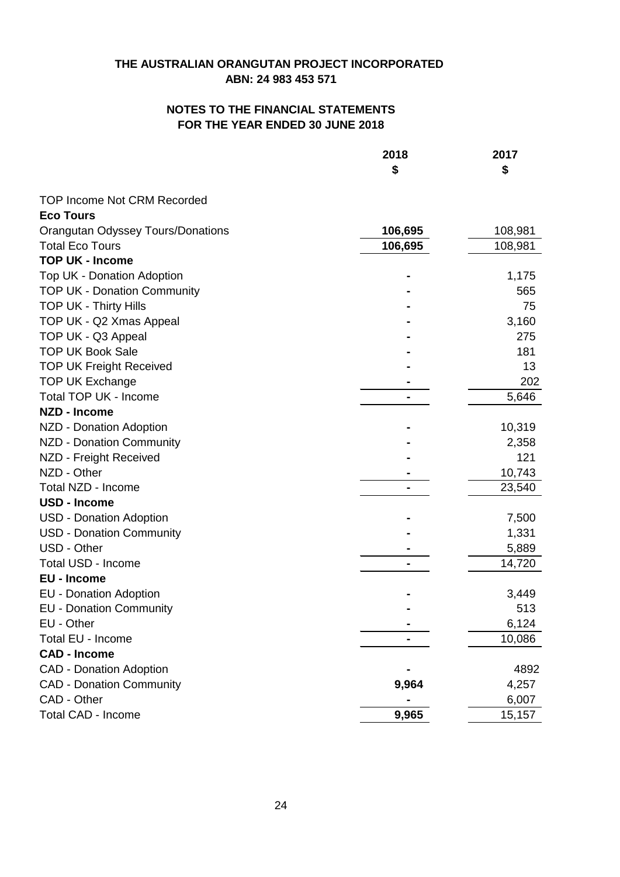|                                          | 2018<br>\$ | 2017<br>\$ |
|------------------------------------------|------------|------------|
|                                          |            |            |
| <b>TOP Income Not CRM Recorded</b>       |            |            |
| <b>Eco Tours</b>                         |            |            |
| <b>Orangutan Odyssey Tours/Donations</b> | 106,695    | 108,981    |
| <b>Total Eco Tours</b>                   | 106,695    | 108,981    |
| <b>TOP UK - Income</b>                   |            |            |
| Top UK - Donation Adoption               |            | 1,175      |
| <b>TOP UK - Donation Community</b>       |            | 565        |
| <b>TOP UK - Thirty Hills</b>             |            | 75         |
| TOP UK - Q2 Xmas Appeal                  |            | 3,160      |
| TOP UK - Q3 Appeal                       |            | 275        |
| <b>TOP UK Book Sale</b>                  |            | 181        |
| <b>TOP UK Freight Received</b>           |            | 13         |
| <b>TOP UK Exchange</b>                   |            | 202        |
| Total TOP UK - Income                    |            | 5,646      |
| <b>NZD - Income</b>                      |            |            |
| NZD - Donation Adoption                  |            | 10,319     |
| <b>NZD - Donation Community</b>          |            | 2,358      |
| NZD - Freight Received                   |            | 121        |
| NZD - Other                              |            | 10,743     |
| Total NZD - Income                       |            | 23,540     |
| <b>USD - Income</b>                      |            |            |
| <b>USD - Donation Adoption</b>           |            | 7,500      |
| <b>USD - Donation Community</b>          |            | 1,331      |
| USD - Other                              |            | 5,889      |
| Total USD - Income                       |            | 14,720     |
| <b>EU - Income</b>                       |            |            |
| <b>EU - Donation Adoption</b>            |            | 3,449      |
| <b>EU - Donation Community</b>           |            | 513        |
| EU - Other                               |            | 6,124      |
| Total EU - Income                        |            | 10,086     |
| <b>CAD - Income</b>                      |            |            |
| <b>CAD - Donation Adoption</b>           |            | 4892       |
| <b>CAD - Donation Community</b>          | 9,964      | 4,257      |
| CAD - Other                              |            | 6,007      |
| <b>Total CAD - Income</b>                | 9,965      | 15,157     |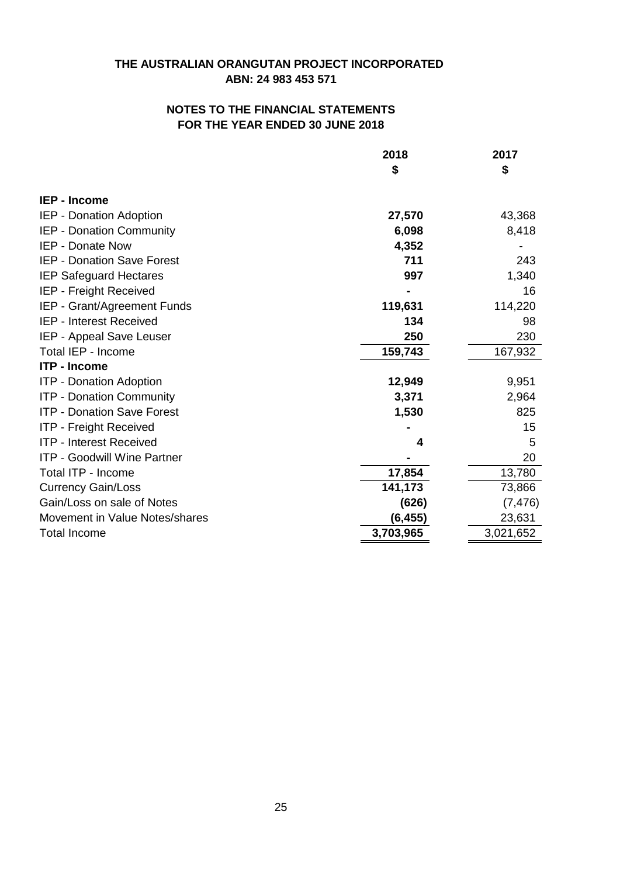|                                    | 2018      | 2017      |
|------------------------------------|-----------|-----------|
|                                    | \$        | \$        |
| <b>IEP - Income</b>                |           |           |
| IEP - Donation Adoption            | 27,570    | 43,368    |
| <b>IEP - Donation Community</b>    | 6,098     | 8,418     |
| IEP - Donate Now                   | 4,352     |           |
| <b>IEP - Donation Save Forest</b>  | 711       | 243       |
| <b>IEP Safeguard Hectares</b>      | 997       | 1,340     |
| IEP - Freight Received             |           | 16        |
| IEP - Grant/Agreement Funds        | 119,631   | 114,220   |
| <b>IEP - Interest Received</b>     | 134       | 98        |
| IEP - Appeal Save Leuser           | 250       | 230       |
| Total IEP - Income                 | 159,743   | 167,932   |
| <b>ITP - Income</b>                |           |           |
| <b>ITP - Donation Adoption</b>     | 12,949    | 9,951     |
| <b>ITP - Donation Community</b>    | 3,371     | 2,964     |
| <b>ITP - Donation Save Forest</b>  | 1,530     | 825       |
| <b>ITP - Freight Received</b>      |           | 15        |
| <b>ITP - Interest Received</b>     | 4         | 5         |
| <b>ITP - Goodwill Wine Partner</b> |           | 20        |
| Total ITP - Income                 | 17,854    | 13,780    |
| <b>Currency Gain/Loss</b>          | 141,173   | 73,866    |
| Gain/Loss on sale of Notes         | (626)     | (7, 476)  |
| Movement in Value Notes/shares     | (6, 455)  | 23,631    |
| <b>Total Income</b>                | 3,703,965 | 3,021,652 |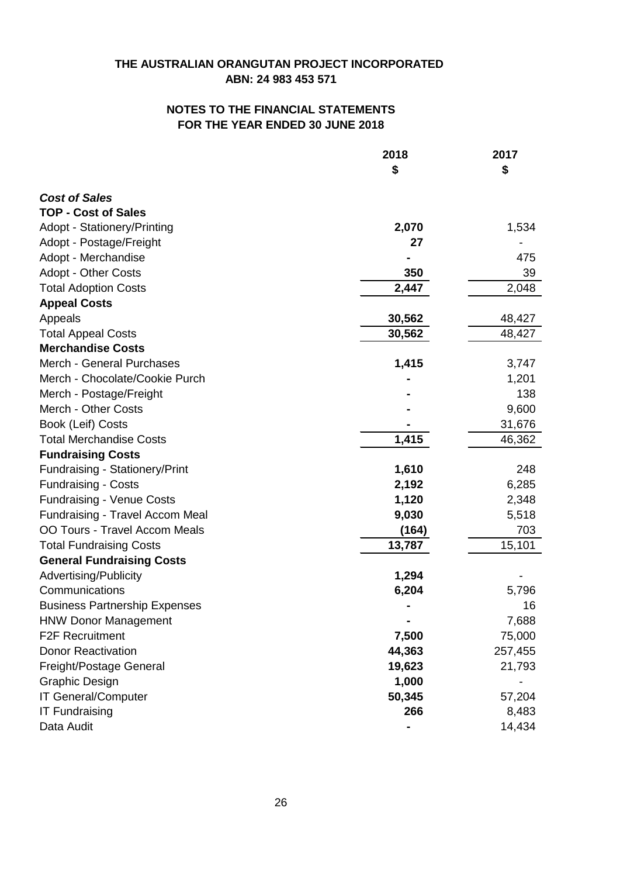|                                      | 2018   | 2017    |
|--------------------------------------|--------|---------|
|                                      | \$     | \$      |
| <b>Cost of Sales</b>                 |        |         |
| <b>TOP - Cost of Sales</b>           |        |         |
| <b>Adopt - Stationery/Printing</b>   | 2,070  | 1,534   |
| Adopt - Postage/Freight              | 27     |         |
| Adopt - Merchandise                  |        | 475     |
| <b>Adopt - Other Costs</b>           | 350    | 39      |
| <b>Total Adoption Costs</b>          | 2,447  | 2,048   |
| <b>Appeal Costs</b>                  |        |         |
| Appeals                              | 30,562 | 48,427  |
| <b>Total Appeal Costs</b>            | 30,562 | 48,427  |
| <b>Merchandise Costs</b>             |        |         |
| Merch - General Purchases            | 1,415  | 3,747   |
| Merch - Chocolate/Cookie Purch       |        | 1,201   |
| Merch - Postage/Freight              |        | 138     |
| Merch - Other Costs                  |        | 9,600   |
| Book (Leif) Costs                    |        | 31,676  |
| <b>Total Merchandise Costs</b>       | 1,415  | 46,362  |
| <b>Fundraising Costs</b>             |        |         |
| Fundraising - Stationery/Print       | 1,610  | 248     |
| <b>Fundraising - Costs</b>           | 2,192  | 6,285   |
| <b>Fundraising - Venue Costs</b>     | 1,120  | 2,348   |
| Fundraising - Travel Accom Meal      | 9,030  | 5,518   |
| OO Tours - Travel Accom Meals        | (164)  | 703     |
| <b>Total Fundraising Costs</b>       | 13,787 | 15,101  |
| <b>General Fundraising Costs</b>     |        |         |
| Advertising/Publicity                | 1,294  |         |
| Communications                       | 6,204  | 5,796   |
| <b>Business Partnership Expenses</b> |        | 16      |
| <b>HNW Donor Management</b>          |        | 7,688   |
| <b>F2F Recruitment</b>               | 7,500  | 75,000  |
| <b>Donor Reactivation</b>            | 44,363 | 257,455 |
| Freight/Postage General              | 19,623 | 21,793  |
| Graphic Design                       | 1,000  |         |
| IT General/Computer                  | 50,345 | 57,204  |
| <b>IT Fundraising</b>                | 266    | 8,483   |
| Data Audit                           |        | 14,434  |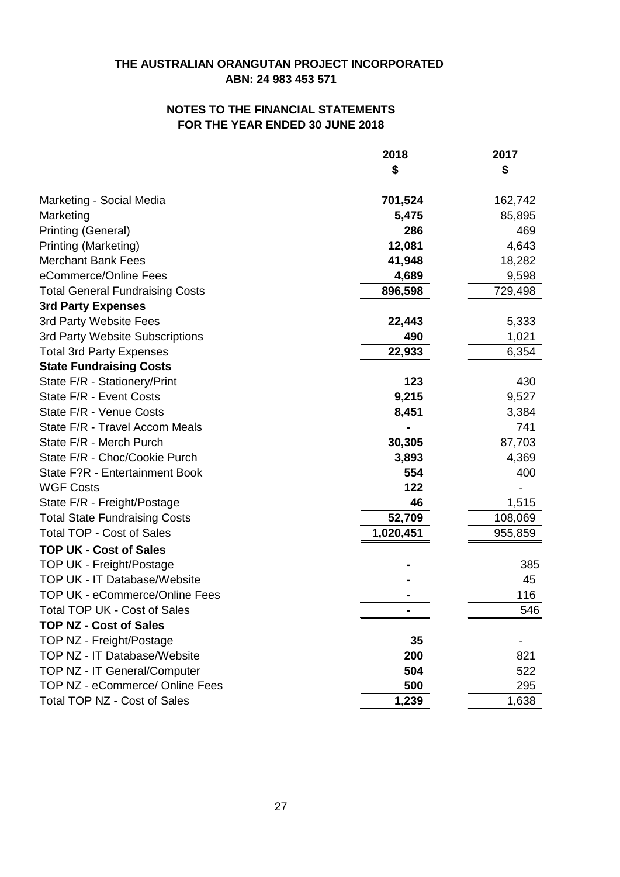# **ABN: 24 983 453 571 THE AUSTRALIAN ORANGUTAN PROJECT INCORPORATED**

## **FOR THE YEAR ENDED 30 JUNE 2018 NOTES TO THE FINANCIAL STATEMENTS**

|                                        | 2018      | 2017    |
|----------------------------------------|-----------|---------|
|                                        | \$        | \$      |
| Marketing - Social Media               | 701,524   | 162,742 |
| Marketing                              | 5,475     | 85,895  |
| Printing (General)                     | 286       | 469     |
| Printing (Marketing)                   | 12,081    | 4,643   |
| <b>Merchant Bank Fees</b>              | 41,948    | 18,282  |
| eCommerce/Online Fees                  | 4,689     | 9,598   |
| <b>Total General Fundraising Costs</b> | 896,598   | 729,498 |
| <b>3rd Party Expenses</b>              |           |         |
| 3rd Party Website Fees                 | 22,443    | 5,333   |
| 3rd Party Website Subscriptions        | 490       | 1,021   |
| <b>Total 3rd Party Expenses</b>        | 22,933    | 6,354   |
| <b>State Fundraising Costs</b>         |           |         |
| State F/R - Stationery/Print           | 123       | 430     |
| State F/R - Event Costs                | 9,215     | 9,527   |
| State F/R - Venue Costs                | 8,451     | 3,384   |
| State F/R - Travel Accom Meals         |           | 741     |
| State F/R - Merch Purch                | 30,305    | 87,703  |
| State F/R - Choc/Cookie Purch          | 3,893     | 4,369   |
| State F?R - Entertainment Book         | 554       | 400     |
| <b>WGF Costs</b>                       | 122       |         |
| State F/R - Freight/Postage            | 46        | 1,515   |
| <b>Total State Fundraising Costs</b>   | 52,709    | 108,069 |
| <b>Total TOP - Cost of Sales</b>       | 1,020,451 | 955,859 |
| <b>TOP UK - Cost of Sales</b>          |           |         |
| TOP UK - Freight/Postage               |           | 385     |
| TOP UK - IT Database/Website           |           | 45      |
| <b>TOP UK - eCommerce/Online Fees</b>  |           | 116     |
| <b>Total TOP UK - Cost of Sales</b>    |           | 546     |
| <b>TOP NZ - Cost of Sales</b>          |           |         |
| TOP NZ - Freight/Postage               | 35        |         |
| TOP NZ - IT Database/Website           | 200       | 821     |
| TOP NZ - IT General/Computer           | 504       | 522     |
| TOP NZ - eCommerce/ Online Fees        | 500       | 295     |
| <b>Total TOP NZ - Cost of Sales</b>    | 1,239     | 1,638   |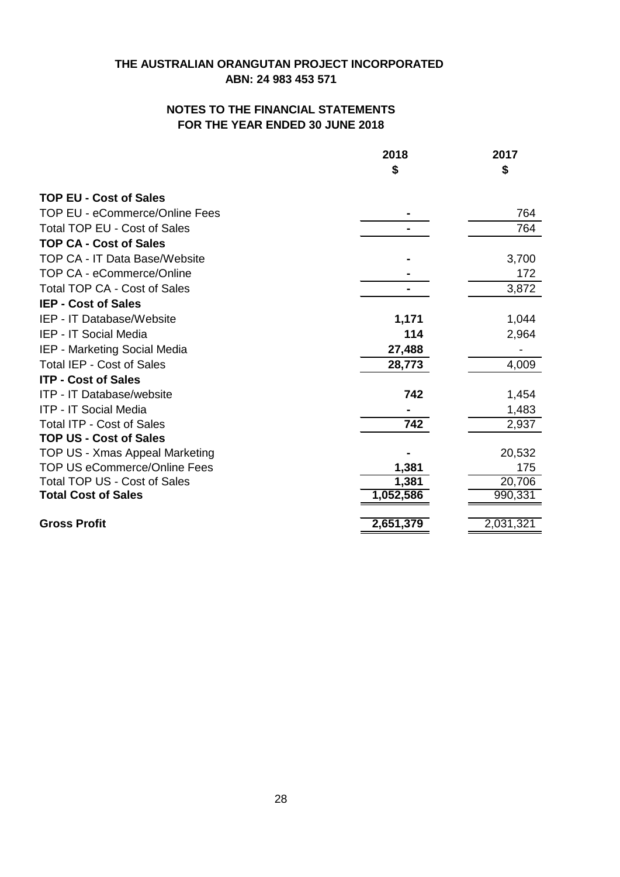|                                      | 2018      | 2017      |
|--------------------------------------|-----------|-----------|
|                                      | \$        | \$        |
| <b>TOP EU - Cost of Sales</b>        |           |           |
| TOP EU - eCommerce/Online Fees       |           | 764       |
| <b>Total TOP EU - Cost of Sales</b>  |           | 764       |
| <b>TOP CA - Cost of Sales</b>        |           |           |
| <b>TOP CA - IT Data Base/Website</b> |           | 3,700     |
| <b>TOP CA - eCommerce/Online</b>     |           | 172       |
| <b>Total TOP CA - Cost of Sales</b>  |           | 3,872     |
| <b>IEP - Cost of Sales</b>           |           |           |
| IEP - IT Database/Website            | 1,171     | 1,044     |
| <b>IEP - IT Social Media</b>         | 114       | 2,964     |
| IEP - Marketing Social Media         | 27,488    |           |
| <b>Total IEP - Cost of Sales</b>     | 28,773    | 4,009     |
| <b>ITP - Cost of Sales</b>           |           |           |
| ITP - IT Database/website            | 742       | 1,454     |
| <b>ITP - IT Social Media</b>         |           | 1,483     |
| <b>Total ITP - Cost of Sales</b>     | 742       | 2,937     |
| <b>TOP US - Cost of Sales</b>        |           |           |
| TOP US - Xmas Appeal Marketing       |           | 20,532    |
| <b>TOP US eCommerce/Online Fees</b>  | 1,381     | 175       |
| Total TOP US - Cost of Sales         | 1,381     | 20,706    |
| <b>Total Cost of Sales</b>           | 1,052,586 | 990,331   |
| <b>Gross Profit</b>                  | 2,651,379 | 2,031,321 |
|                                      |           |           |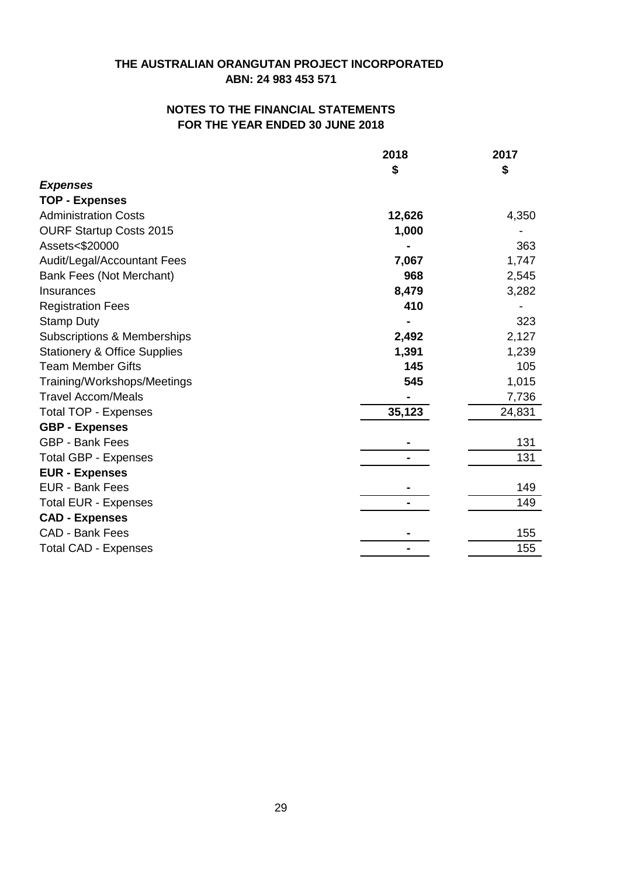|                                         | 2018   | 2017   |
|-----------------------------------------|--------|--------|
|                                         | \$     | \$     |
| <b>Expenses</b>                         |        |        |
| <b>TOP - Expenses</b>                   |        |        |
| <b>Administration Costs</b>             | 12,626 | 4,350  |
| <b>OURF Startup Costs 2015</b>          | 1,000  |        |
| Assets<\$20000                          |        | 363    |
| Audit/Legal/Accountant Fees             | 7,067  | 1,747  |
| Bank Fees (Not Merchant)                | 968    | 2,545  |
| Insurances                              | 8,479  | 3,282  |
| <b>Registration Fees</b>                | 410    |        |
| <b>Stamp Duty</b>                       |        | 323    |
| Subscriptions & Memberships             | 2,492  | 2,127  |
| <b>Stationery &amp; Office Supplies</b> | 1,391  | 1,239  |
| <b>Team Member Gifts</b>                | 145    | 105    |
| Training/Workshops/Meetings             | 545    | 1,015  |
| <b>Travel Accom/Meals</b>               |        | 7,736  |
| <b>Total TOP - Expenses</b>             | 35,123 | 24,831 |
| <b>GBP - Expenses</b>                   |        |        |
| <b>GBP - Bank Fees</b>                  |        | 131    |
| <b>Total GBP - Expenses</b>             |        | 131    |
| <b>EUR - Expenses</b>                   |        |        |
| EUR - Bank Fees                         |        | 149    |
| <b>Total EUR - Expenses</b>             |        | 149    |
| <b>CAD - Expenses</b>                   |        |        |
| <b>CAD - Bank Fees</b>                  |        | 155    |
| <b>Total CAD - Expenses</b>             |        | 155    |
|                                         |        |        |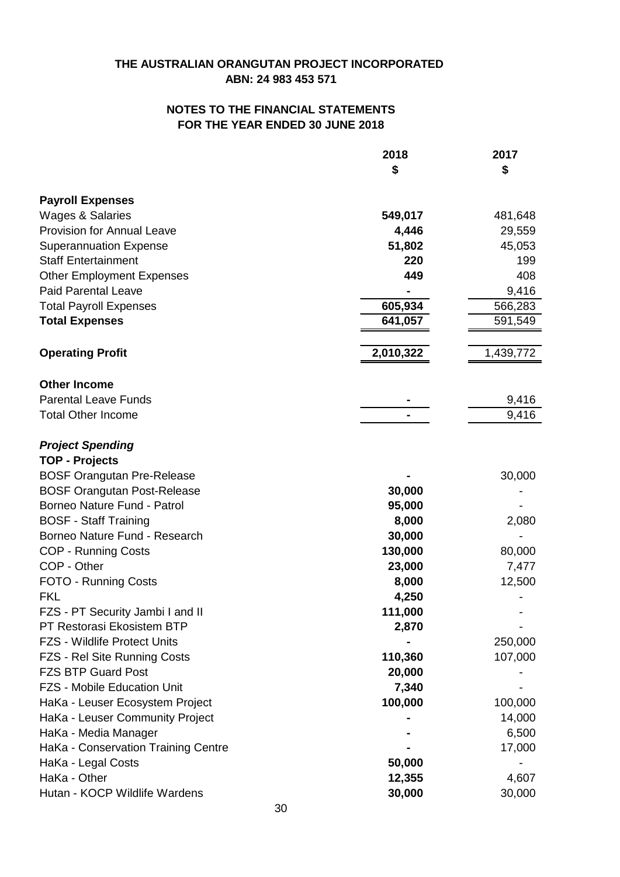|                                     | 2018      | 2017      |
|-------------------------------------|-----------|-----------|
|                                     | \$        | \$        |
| <b>Payroll Expenses</b>             |           |           |
| <b>Wages &amp; Salaries</b>         | 549,017   | 481,648   |
| <b>Provision for Annual Leave</b>   | 4,446     | 29,559    |
| <b>Superannuation Expense</b>       | 51,802    | 45,053    |
| <b>Staff Entertainment</b>          | 220       | 199       |
| <b>Other Employment Expenses</b>    | 449       | 408       |
| <b>Paid Parental Leave</b>          |           | 9,416     |
| <b>Total Payroll Expenses</b>       | 605,934   | 566,283   |
| <b>Total Expenses</b>               | 641,057   | 591,549   |
| <b>Operating Profit</b>             | 2,010,322 | 1,439,772 |
|                                     |           |           |
| <b>Other Income</b>                 |           |           |
| <b>Parental Leave Funds</b>         |           | 9,416     |
| <b>Total Other Income</b>           |           | 9,416     |
| <b>Project Spending</b>             |           |           |
| <b>TOP - Projects</b>               |           |           |
| <b>BOSF Orangutan Pre-Release</b>   |           | 30,000    |
| <b>BOSF Orangutan Post-Release</b>  | 30,000    |           |
| Borneo Nature Fund - Patrol         | 95,000    |           |
| <b>BOSF - Staff Training</b>        | 8,000     | 2,080     |
| Borneo Nature Fund - Research       | 30,000    |           |
| <b>COP - Running Costs</b>          | 130,000   | 80,000    |
| COP - Other                         | 23,000    | 7,477     |
| FOTO - Running Costs                | 8,000     | 12,500    |
| <b>FKL</b>                          | 4,250     |           |
| FZS - PT Security Jambi I and II    | 111,000   |           |
| PT Restorasi Ekosistem BTP          | 2,870     |           |
| <b>FZS - Wildlife Protect Units</b> |           | 250,000   |
| FZS - Rel Site Running Costs        | 110,360   | 107,000   |
| <b>FZS BTP Guard Post</b>           | 20,000    |           |
| <b>FZS - Mobile Education Unit</b>  | 7,340     |           |
| HaKa - Leuser Ecosystem Project     | 100,000   | 100,000   |
| HaKa - Leuser Community Project     |           | 14,000    |
| HaKa - Media Manager                |           | 6,500     |
| HaKa - Conservation Training Centre |           | 17,000    |
| HaKa - Legal Costs                  | 50,000    |           |
| HaKa - Other                        | 12,355    | 4,607     |
| Hutan - KOCP Wildlife Wardens       | 30,000    | 30,000    |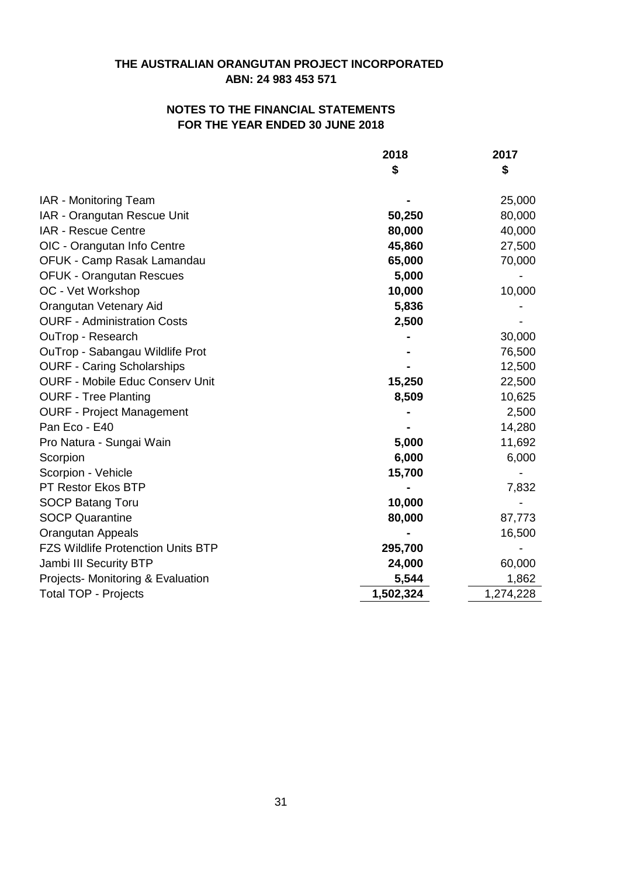## **FOR THE YEAR ENDED 30 JUNE 2018 NOTES TO THE FINANCIAL STATEMENTS**

|                                           | 2018<br>\$ | 2017<br>\$ |
|-------------------------------------------|------------|------------|
|                                           |            |            |
| IAR - Monitoring Team                     |            | 25,000     |
| IAR - Orangutan Rescue Unit               | 50,250     | 80,000     |
| IAR - Rescue Centre                       | 80,000     | 40,000     |
| OIC - Orangutan Info Centre               | 45,860     | 27,500     |
| OFUK - Camp Rasak Lamandau                | 65,000     | 70,000     |
| <b>OFUK - Orangutan Rescues</b>           | 5,000      |            |
| OC - Vet Workshop                         | 10,000     | 10,000     |
| <b>Orangutan Vetenary Aid</b>             | 5,836      |            |
| <b>OURF - Administration Costs</b>        | 2,500      |            |
| OuTrop - Research                         |            | 30,000     |
| OuTrop - Sabangau Wildlife Prot           |            | 76,500     |
| <b>OURF - Caring Scholarships</b>         |            | 12,500     |
| <b>OURF - Mobile Educ Conserv Unit</b>    | 15,250     | 22,500     |
| <b>OURF - Tree Planting</b>               | 8,509      | 10,625     |
| <b>OURF - Project Management</b>          |            | 2,500      |
| Pan Eco - E40                             |            | 14,280     |
| Pro Natura - Sungai Wain                  | 5,000      | 11,692     |
| Scorpion                                  | 6,000      | 6,000      |
| Scorpion - Vehicle                        | 15,700     |            |
| PT Restor Ekos BTP                        |            | 7,832      |
| <b>SOCP Batang Toru</b>                   | 10,000     |            |
| <b>SOCP Quarantine</b>                    | 80,000     | 87,773     |
| <b>Orangutan Appeals</b>                  |            | 16,500     |
| <b>FZS Wildlife Protenction Units BTP</b> | 295,700    |            |
| Jambi III Security BTP                    | 24,000     | 60,000     |
| Projects- Monitoring & Evaluation         | 5,544      | 1,862      |
| <b>Total TOP - Projects</b>               | 1,502,324  | 1,274,228  |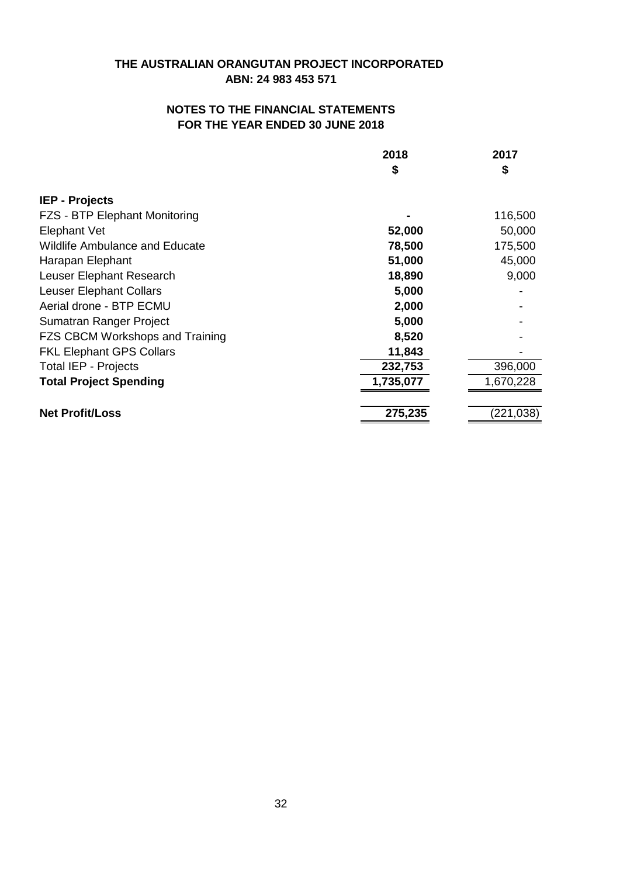| 2018      | 2017       |
|-----------|------------|
| \$        | \$         |
|           |            |
|           | 116,500    |
| 52,000    | 50,000     |
| 78,500    | 175,500    |
| 51,000    | 45,000     |
| 18,890    | 9,000      |
| 5,000     |            |
| 2,000     |            |
| 5,000     |            |
| 8,520     |            |
| 11,843    |            |
| 232,753   | 396,000    |
| 1,735,077 | 1,670,228  |
| 275,235   | (221, 038) |
|           |            |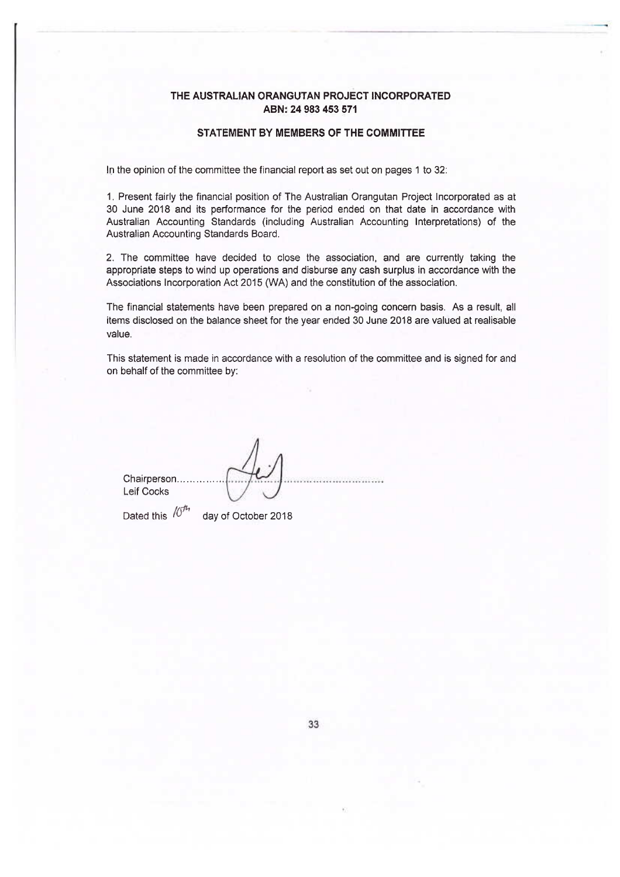#### STATEMENT BY MEMBERS OF THE COMMITTEE

In the opinion of the committee the financial report as set out on pages 1 to 32:

1. Present fairly the financial position of The Australian Orangutan Project Incorporated as at 30 June 2018 and its performance for the period ended on that date in accordance with Australian Accounting Standards (including Australian Accounting Interpretations) of the Australian Accounting Standards Board.

2. The committee have decided to close the association, and are currently taking the appropriate steps to wind up operations and disburse any cash surplus in accordance with the Associations Incorporation Act 2015 (WA) and the constitution of the association.

The financial statements have been prepared on a non-going concern basis. As a result, all items disclosed on the balance sheet for the year ended 30 June 2018 are valued at realisable value.

This statement is made in accordance with a resolution of the committee and is signed for and on behalf of the committee by:

Chairperson......... **Leif Cocks** 

Dated this  $/0<sup>th</sup>$ 

day of October 2018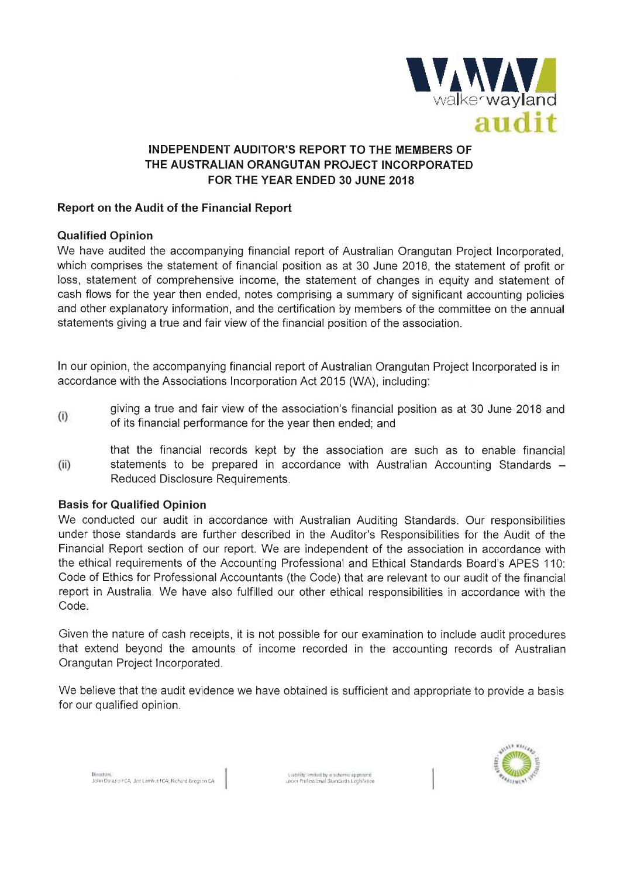

### Report on the Audit of the Financial Report

### **Qualified Opinion**

We have audited the accompanying financial report of Australian Orangutan Project Incorporated. which comprises the statement of financial position as at 30 June 2018, the statement of profit or loss, statement of comprehensive income, the statement of changes in equity and statement of cash flows for the year then ended, notes comprising a summary of significant accounting policies and other explanatory information, and the certification by members of the committee on the annual statements giving a true and fair view of the financial position of the association.

In our opinion, the accompanying financial report of Australian Orangutan Project Incorporated is in accordance with the Associations Incorporation Act 2015 (WA), including:

- giving a true and fair view of the association's financial position as at 30 June 2018 and  $(i)$ of its financial performance for the year then ended; and
- that the financial records kept by the association are such as to enable financial  $(ii)$ statements to be prepared in accordance with Australian Accounting Standards -Reduced Disclosure Requirements.

### **Basis for Qualified Opinion**

We conducted our audit in accordance with Australian Auditing Standards. Our responsibilities under those standards are further described in the Auditor's Responsibilities for the Audit of the Financial Report section of our report. We are independent of the association in accordance with the ethical requirements of the Accounting Professional and Ethical Standards Board's APES 110: Code of Ethics for Professional Accountants (the Code) that are relevant to our audit of the financial report in Australia. We have also fulfilled our other ethical responsibilities in accordance with the Code.

Given the nature of cash receipts, it is not possible for our examination to include audit procedures that extend beyond the amounts of income recorded in the accounting records of Australian Orangutan Project Incorporated.

We believe that the audit evidence we have obtained is sufficient and appropriate to provide a basis for our qualified opinion.



Britannia.<br>John Darazio FCA, Joe Lamhut FCA; Richard Gregson CA.

Liability install by a scheme approved<br>Index Professional Standards Legislation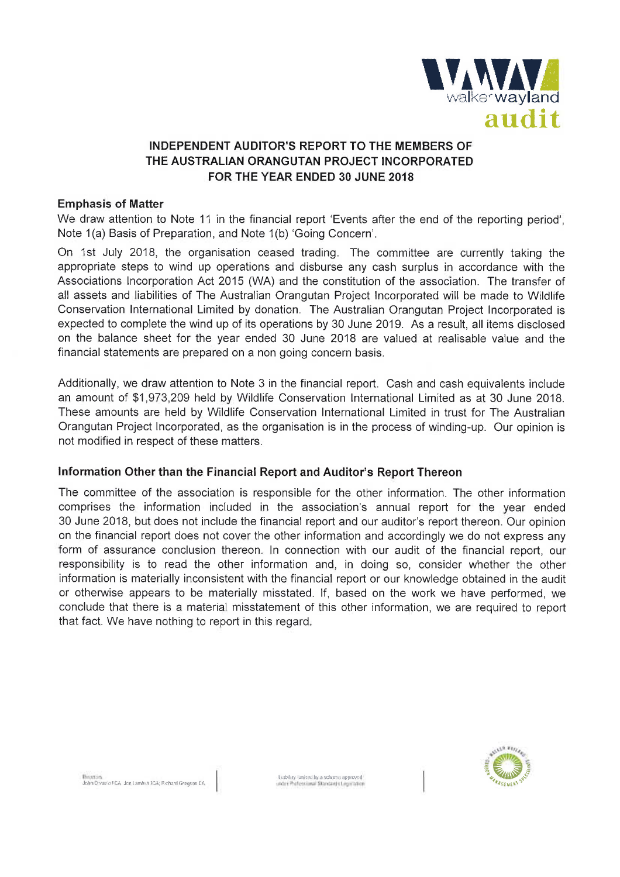

#### **Emphasis of Matter**

We draw attention to Note 11 in the financial report 'Events after the end of the reporting period'. Note 1(a) Basis of Preparation, and Note 1(b) 'Going Concern'.

On 1st July 2018, the organisation ceased trading. The committee are currently taking the appropriate steps to wind up operations and disburse any cash surplus in accordance with the Associations Incorporation Act 2015 (WA) and the constitution of the association. The transfer of all assets and liabilities of The Australian Orangutan Project Incorporated will be made to Wildlife Conservation International Limited by donation. The Australian Orangutan Project Incorporated is expected to complete the wind up of its operations by 30 June 2019. As a result, all items disclosed on the balance sheet for the year ended 30 June 2018 are valued at realisable value and the financial statements are prepared on a non going concern basis.

Additionally, we draw attention to Note 3 in the financial report. Cash and cash equivalents include an amount of \$1,973,209 held by Wildlife Conservation International Limited as at 30 June 2018. These amounts are held by Wildlife Conservation International Limited in trust for The Australian Orangutan Project Incorporated, as the organisation is in the process of winding-up. Our opinion is not modified in respect of these matters.

### Information Other than the Financial Report and Auditor's Report Thereon

The committee of the association is responsible for the other information. The other information comprises the information included in the association's annual report for the year ended 30 June 2018, but does not include the financial report and our auditor's report thereon. Our opinion on the financial report does not cover the other information and accordingly we do not express any form of assurance conclusion thereon. In connection with our audit of the financial report, our responsibility is to read the other information and, in doing so, consider whether the other information is materially inconsistent with the financial report or our knowledge obtained in the audit or otherwise appears to be materially misstated. If, based on the work we have performed, we conclude that there is a material misstatement of this other information, we are required to report that fact. We have nothing to report in this regard.



John Derazio FCA, Joe Lamhut FCA; Richard Gregson CA

Liability limited by a scheme approved<br>Linear Policerium - Startants Linear Star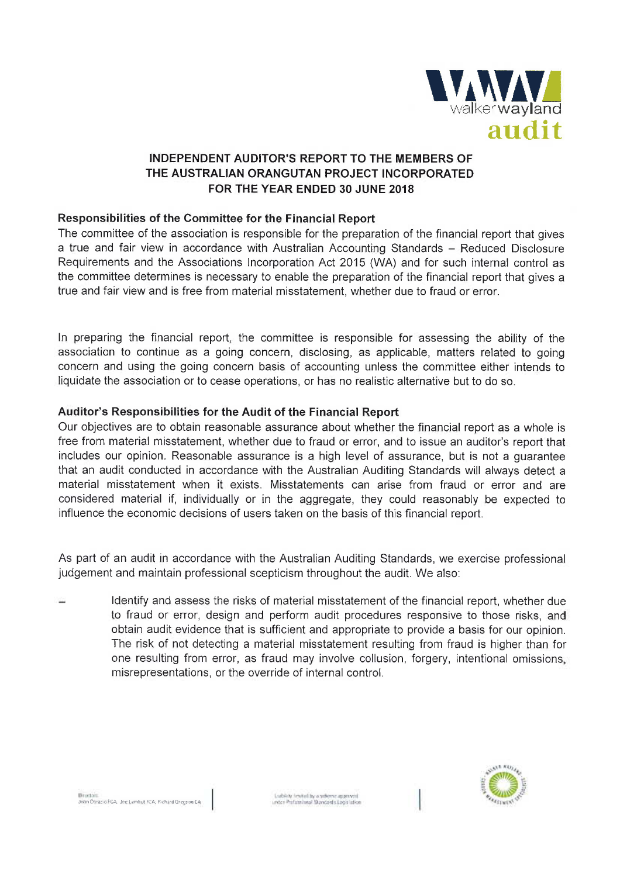

## Responsibilities of the Committee for the Financial Report

The committee of the association is responsible for the preparation of the financial report that gives a true and fair view in accordance with Australian Accounting Standards – Reduced Disclosure Requirements and the Associations Incorporation Act 2015 (WA) and for such internal control as the committee determines is necessary to enable the preparation of the financial report that gives a true and fair view and is free from material misstatement, whether due to fraud or error.

In preparing the financial report, the committee is responsible for assessing the ability of the association to continue as a going concern, disclosing, as applicable, matters related to going concern and using the going concern basis of accounting unless the committee either intends to liquidate the association or to cease operations, or has no realistic alternative but to do so.

### Auditor's Responsibilities for the Audit of the Financial Report

Our objectives are to obtain reasonable assurance about whether the financial report as a whole is free from material misstatement, whether due to fraud or error, and to issue an auditor's report that includes our opinion. Reasonable assurance is a high level of assurance, but is not a quarantee that an audit conducted in accordance with the Australian Auditing Standards will always detect a material misstatement when it exists. Misstatements can arise from fraud or error and are considered material if, individually or in the aggregate, they could reasonably be expected to influence the economic decisions of users taken on the basis of this financial report.

As part of an audit in accordance with the Australian Auditing Standards, we exercise professional judgement and maintain professional scepticism throughout the audit. We also:

Identify and assess the risks of material misstatement of the financial report, whether due to fraud or error, design and perform audit procedures responsive to those risks, and obtain audit evidence that is sufficient and appropriate to provide a basis for our opinion. The risk of not detecting a material misstatement resulting from fraud is higher than for one resulting from error, as fraud may involve collusion, forgery, intentional omissions, misrepresentations, or the override of internal control.